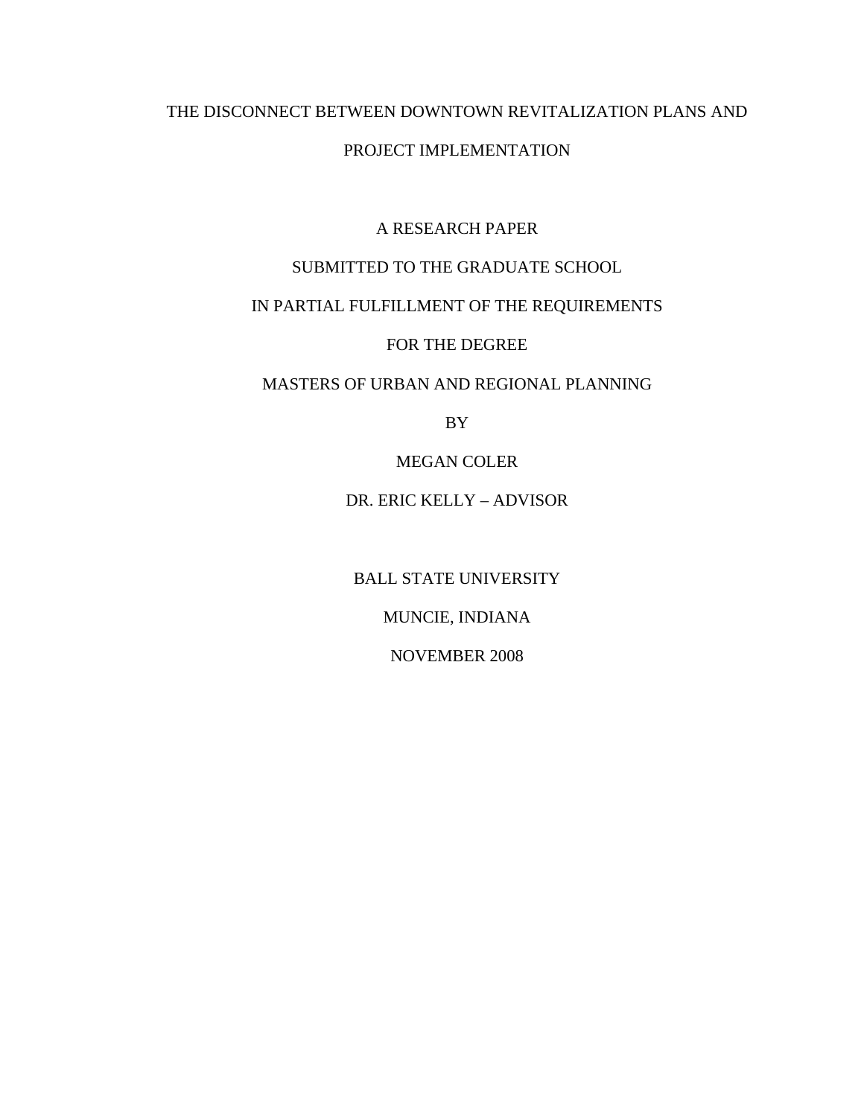# THE DISCONNECT BETWEEN DOWNTOWN REVITALIZATION PLANS AND

#### PROJECT IMPLEMENTATION

## A RESEARCH PAPER

# SUBMITTED TO THE GRADUATE SCHOOL

# IN PARTIAL FULFILLMENT OF THE REQUIREMENTS

FOR THE DEGREE

## MASTERS OF URBAN AND REGIONAL PLANNING

BY

MEGAN COLER

#### DR. ERIC KELLY – ADVISOR

BALL STATE UNIVERSITY

MUNCIE, INDIANA

NOVEMBER 2008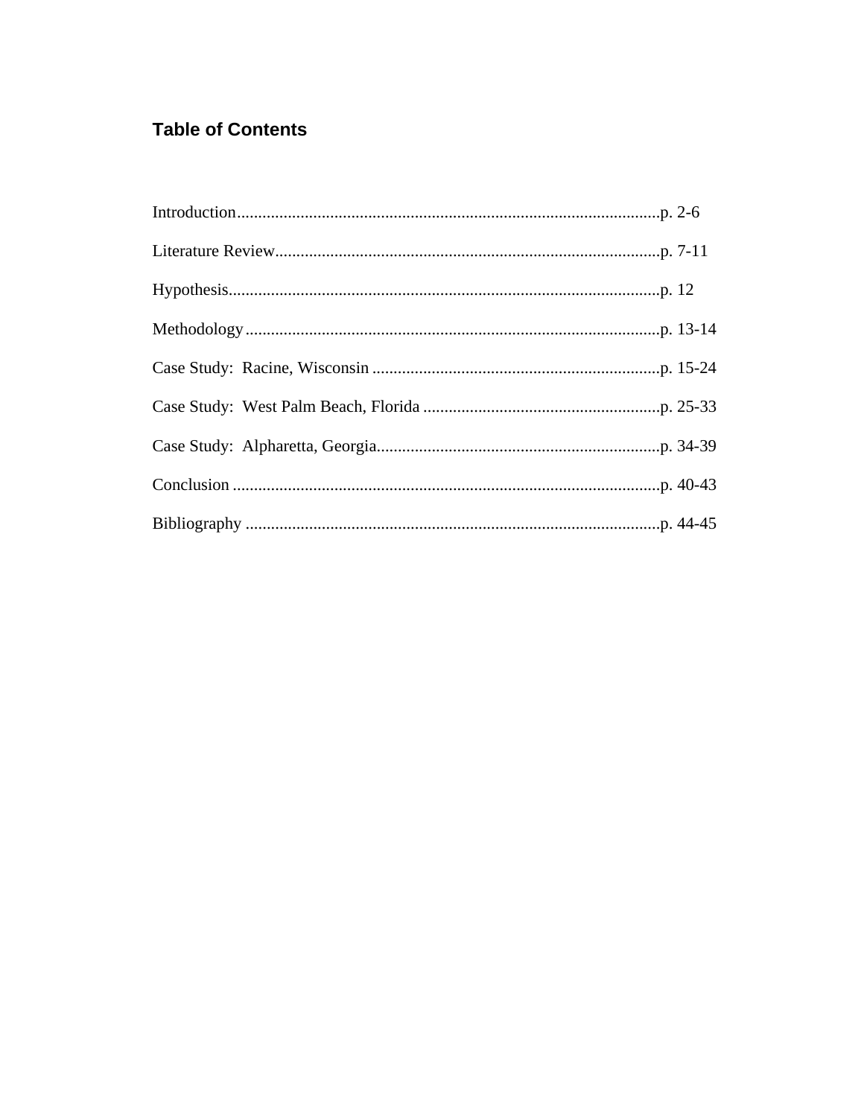# **Table of Contents**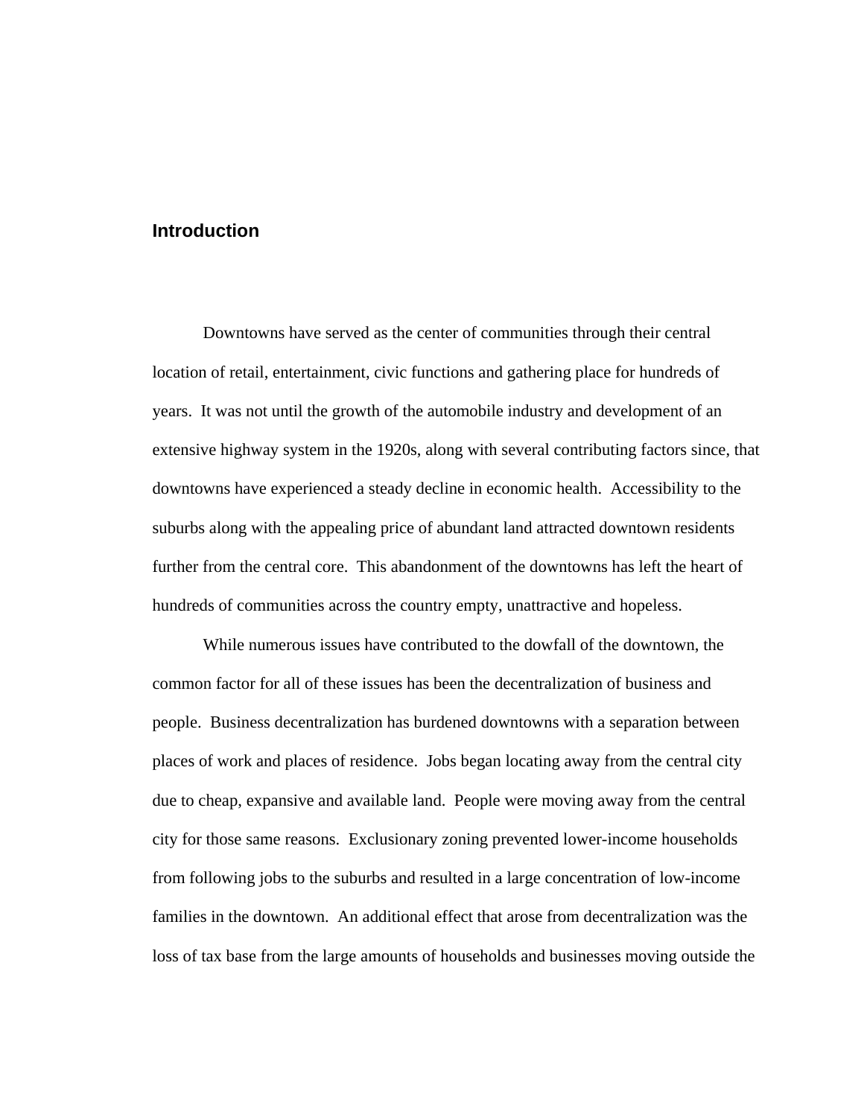## **Introduction**

Downtowns have served as the center of communities through their central location of retail, entertainment, civic functions and gathering place for hundreds of years. It was not until the growth of the automobile industry and development of an extensive highway system in the 1920s, along with several contributing factors since, that downtowns have experienced a steady decline in economic health. Accessibility to the suburbs along with the appealing price of abundant land attracted downtown residents further from the central core. This abandonment of the downtowns has left the heart of hundreds of communities across the country empty, unattractive and hopeless.

 While numerous issues have contributed to the dowfall of the downtown, the common factor for all of these issues has been the decentralization of business and people. Business decentralization has burdened downtowns with a separation between places of work and places of residence. Jobs began locating away from the central city due to cheap, expansive and available land. People were moving away from the central city for those same reasons. Exclusionary zoning prevented lower-income households from following jobs to the suburbs and resulted in a large concentration of low-income families in the downtown. An additional effect that arose from decentralization was the loss of tax base from the large amounts of households and businesses moving outside the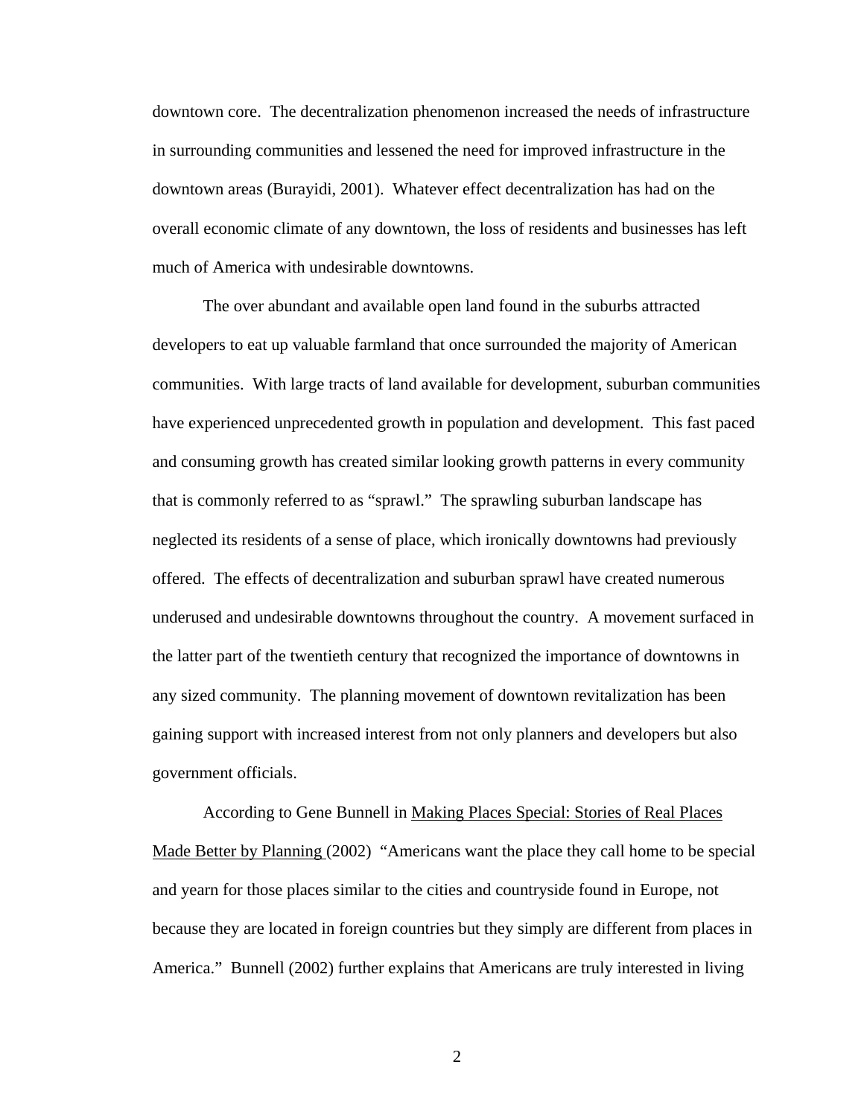downtown core. The decentralization phenomenon increased the needs of infrastructure in surrounding communities and lessened the need for improved infrastructure in the downtown areas (Burayidi, 2001). Whatever effect decentralization has had on the overall economic climate of any downtown, the loss of residents and businesses has left much of America with undesirable downtowns.

 The over abundant and available open land found in the suburbs attracted developers to eat up valuable farmland that once surrounded the majority of American communities. With large tracts of land available for development, suburban communities have experienced unprecedented growth in population and development. This fast paced and consuming growth has created similar looking growth patterns in every community that is commonly referred to as "sprawl." The sprawling suburban landscape has neglected its residents of a sense of place, which ironically downtowns had previously offered. The effects of decentralization and suburban sprawl have created numerous underused and undesirable downtowns throughout the country. A movement surfaced in the latter part of the twentieth century that recognized the importance of downtowns in any sized community. The planning movement of downtown revitalization has been gaining support with increased interest from not only planners and developers but also government officials.

 According to Gene Bunnell in Making Places Special: Stories of Real Places Made Better by Planning (2002) "Americans want the place they call home to be special and yearn for those places similar to the cities and countryside found in Europe, not because they are located in foreign countries but they simply are different from places in America." Bunnell (2002) further explains that Americans are truly interested in living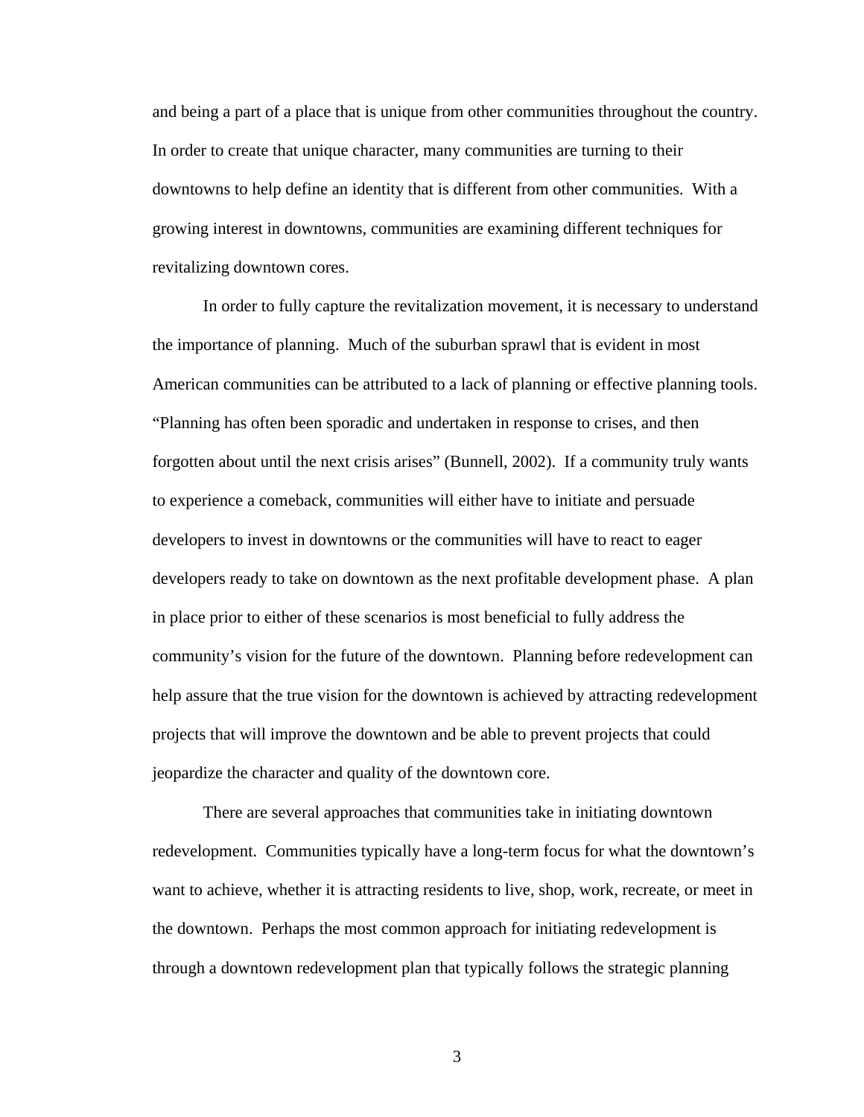and being a part of a place that is unique from other communities throughout the country. In order to create that unique character, many communities are turning to their downtowns to help define an identity that is different from other communities. With a growing interest in downtowns, communities are examining different techniques for revitalizing downtown cores.

 In order to fully capture the revitalization movement, it is necessary to understand the importance of planning. Much of the suburban sprawl that is evident in most American communities can be attributed to a lack of planning or effective planning tools. "Planning has often been sporadic and undertaken in response to crises, and then forgotten about until the next crisis arises" (Bunnell, 2002). If a community truly wants to experience a comeback, communities will either have to initiate and persuade developers to invest in downtowns or the communities will have to react to eager developers ready to take on downtown as the next profitable development phase. A plan in place prior to either of these scenarios is most beneficial to fully address the community's vision for the future of the downtown. Planning before redevelopment can help assure that the true vision for the downtown is achieved by attracting redevelopment projects that will improve the downtown and be able to prevent projects that could jeopardize the character and quality of the downtown core.

 There are several approaches that communities take in initiating downtown redevelopment. Communities typically have a long-term focus for what the downtown's want to achieve, whether it is attracting residents to live, shop, work, recreate, or meet in the downtown. Perhaps the most common approach for initiating redevelopment is through a downtown redevelopment plan that typically follows the strategic planning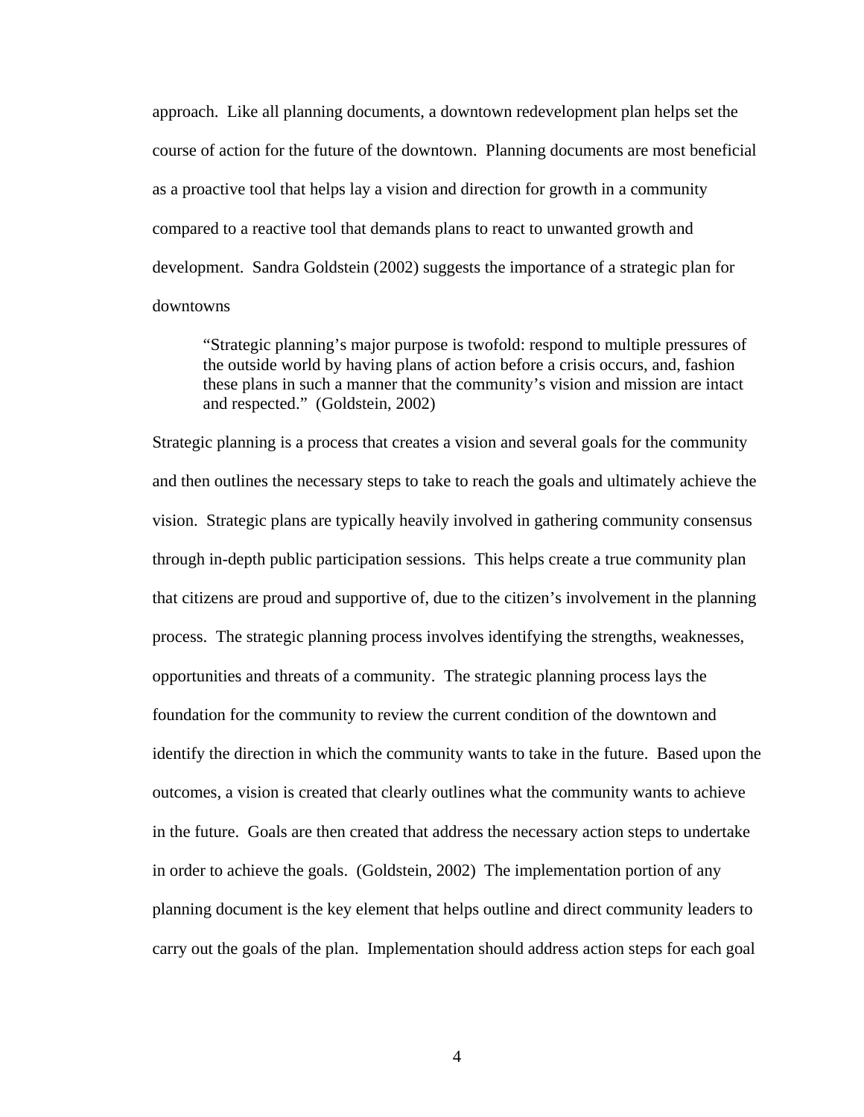approach. Like all planning documents, a downtown redevelopment plan helps set the course of action for the future of the downtown. Planning documents are most beneficial as a proactive tool that helps lay a vision and direction for growth in a community compared to a reactive tool that demands plans to react to unwanted growth and development. Sandra Goldstein (2002) suggests the importance of a strategic plan for downtowns

 "Strategic planning's major purpose is twofold: respond to multiple pressures of the outside world by having plans of action before a crisis occurs, and, fashion these plans in such a manner that the community's vision and mission are intact and respected." (Goldstein, 2002)

Strategic planning is a process that creates a vision and several goals for the community and then outlines the necessary steps to take to reach the goals and ultimately achieve the vision. Strategic plans are typically heavily involved in gathering community consensus through in-depth public participation sessions. This helps create a true community plan that citizens are proud and supportive of, due to the citizen's involvement in the planning process. The strategic planning process involves identifying the strengths, weaknesses, opportunities and threats of a community. The strategic planning process lays the foundation for the community to review the current condition of the downtown and identify the direction in which the community wants to take in the future. Based upon the outcomes, a vision is created that clearly outlines what the community wants to achieve in the future. Goals are then created that address the necessary action steps to undertake in order to achieve the goals. (Goldstein, 2002) The implementation portion of any planning document is the key element that helps outline and direct community leaders to carry out the goals of the plan. Implementation should address action steps for each goal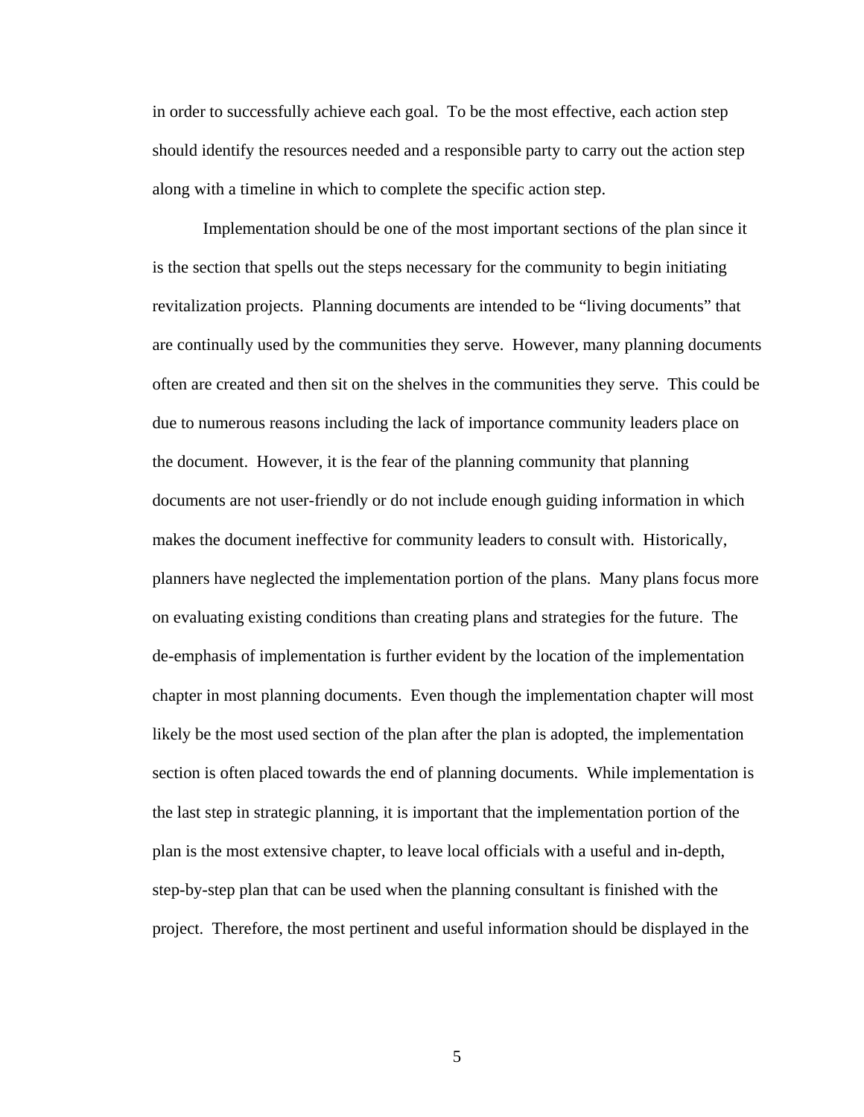in order to successfully achieve each goal. To be the most effective, each action step should identify the resources needed and a responsible party to carry out the action step along with a timeline in which to complete the specific action step.

 Implementation should be one of the most important sections of the plan since it is the section that spells out the steps necessary for the community to begin initiating revitalization projects. Planning documents are intended to be "living documents" that are continually used by the communities they serve. However, many planning documents often are created and then sit on the shelves in the communities they serve. This could be due to numerous reasons including the lack of importance community leaders place on the document. However, it is the fear of the planning community that planning documents are not user-friendly or do not include enough guiding information in which makes the document ineffective for community leaders to consult with. Historically, planners have neglected the implementation portion of the plans. Many plans focus more on evaluating existing conditions than creating plans and strategies for the future. The de-emphasis of implementation is further evident by the location of the implementation chapter in most planning documents. Even though the implementation chapter will most likely be the most used section of the plan after the plan is adopted, the implementation section is often placed towards the end of planning documents. While implementation is the last step in strategic planning, it is important that the implementation portion of the plan is the most extensive chapter, to leave local officials with a useful and in-depth, step-by-step plan that can be used when the planning consultant is finished with the project. Therefore, the most pertinent and useful information should be displayed in the

 $\overline{5}$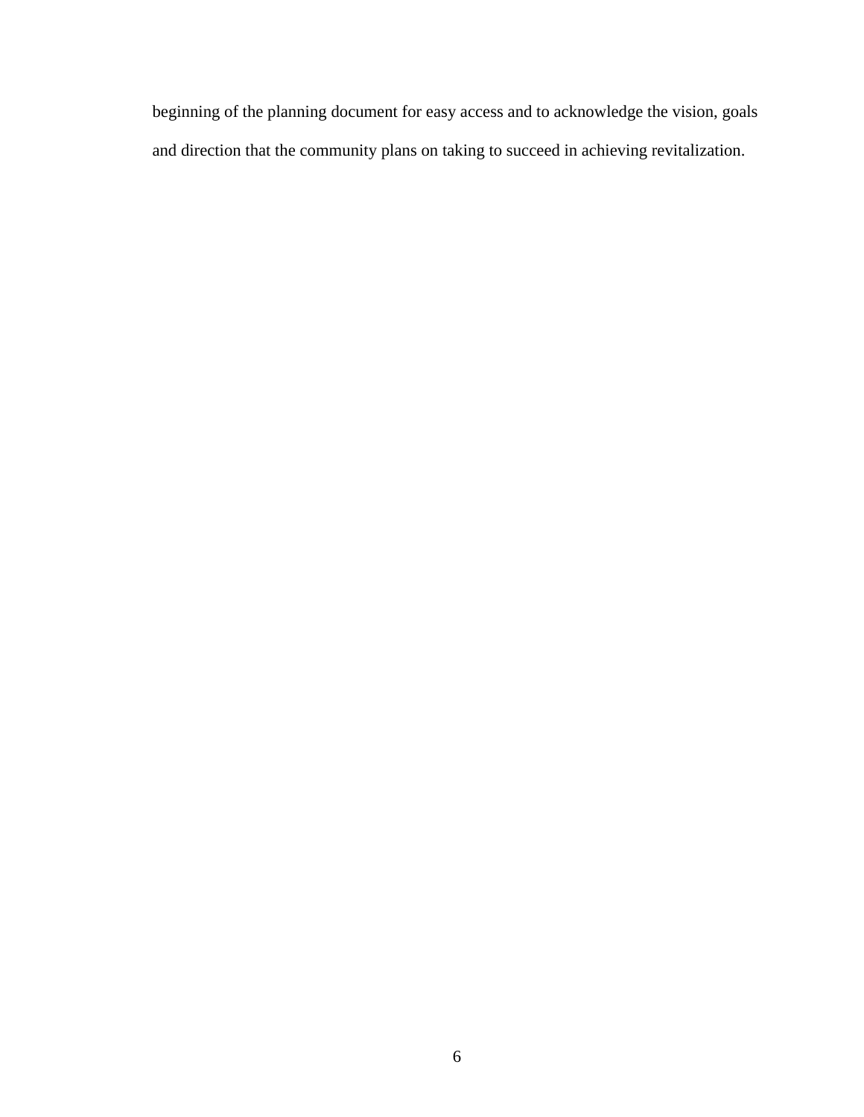beginning of the planning document for easy access and to acknowledge the vision, goals and direction that the community plans on taking to succeed in achieving revitalization.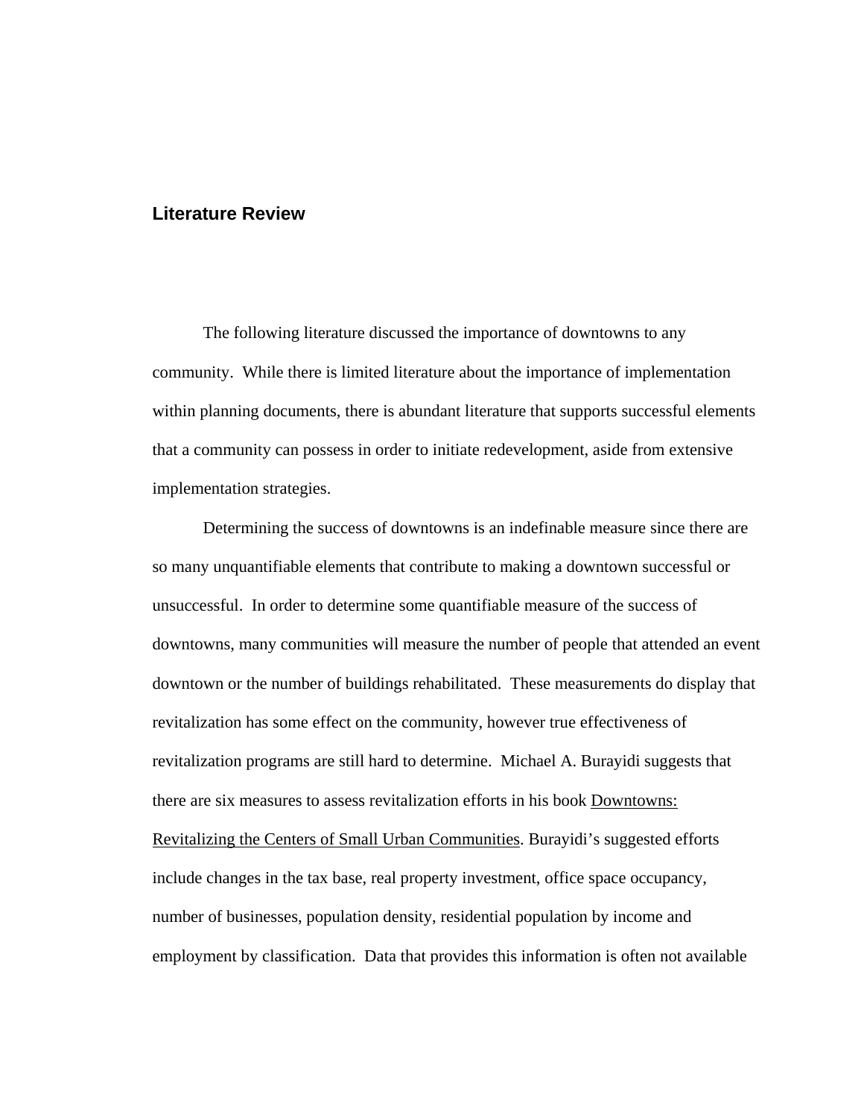#### **Literature Review**

 The following literature discussed the importance of downtowns to any community. While there is limited literature about the importance of implementation within planning documents, there is abundant literature that supports successful elements that a community can possess in order to initiate redevelopment, aside from extensive implementation strategies.

 Determining the success of downtowns is an indefinable measure since there are so many unquantifiable elements that contribute to making a downtown successful or unsuccessful. In order to determine some quantifiable measure of the success of downtowns, many communities will measure the number of people that attended an event downtown or the number of buildings rehabilitated. These measurements do display that revitalization has some effect on the community, however true effectiveness of revitalization programs are still hard to determine. Michael A. Burayidi suggests that there are six measures to assess revitalization efforts in his book Downtowns: Revitalizing the Centers of Small Urban Communities. Burayidi's suggested efforts include changes in the tax base, real property investment, office space occupancy, number of businesses, population density, residential population by income and employment by classification. Data that provides this information is often not available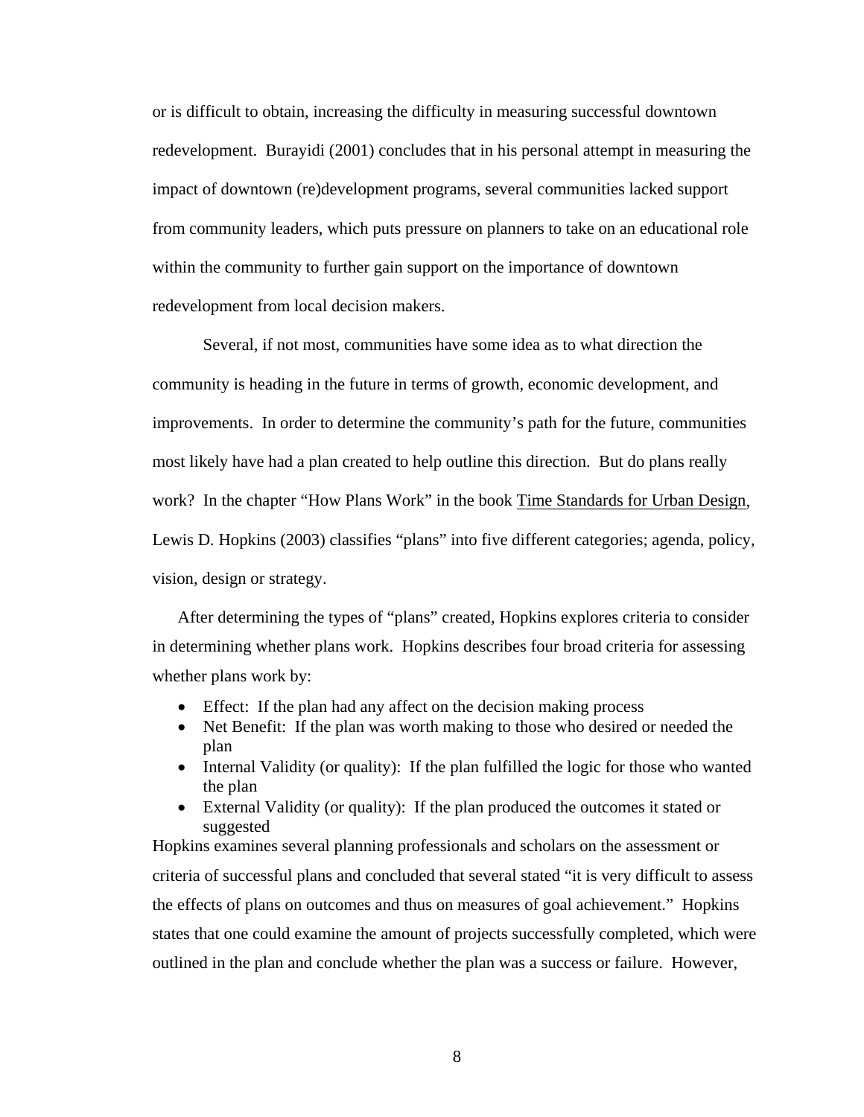or is difficult to obtain, increasing the difficulty in measuring successful downtown redevelopment. Burayidi (2001) concludes that in his personal attempt in measuring the impact of downtown (re)development programs, several communities lacked support from community leaders, which puts pressure on planners to take on an educational role within the community to further gain support on the importance of downtown redevelopment from local decision makers.

 Several, if not most, communities have some idea as to what direction the community is heading in the future in terms of growth, economic development, and improvements. In order to determine the community's path for the future, communities most likely have had a plan created to help outline this direction. But do plans really work? In the chapter "How Plans Work" in the book Time Standards for Urban Design, Lewis D. Hopkins (2003) classifies "plans" into five different categories; agenda, policy, vision, design or strategy.

After determining the types of "plans" created, Hopkins explores criteria to consider in determining whether plans work. Hopkins describes four broad criteria for assessing whether plans work by:

- Effect: If the plan had any affect on the decision making process
- Net Benefit: If the plan was worth making to those who desired or needed the plan
- Internal Validity (or quality): If the plan fulfilled the logic for those who wanted the plan
- External Validity (or quality): If the plan produced the outcomes it stated or suggested

Hopkins examines several planning professionals and scholars on the assessment or criteria of successful plans and concluded that several stated "it is very difficult to assess the effects of plans on outcomes and thus on measures of goal achievement." Hopkins states that one could examine the amount of projects successfully completed, which were outlined in the plan and conclude whether the plan was a success or failure. However,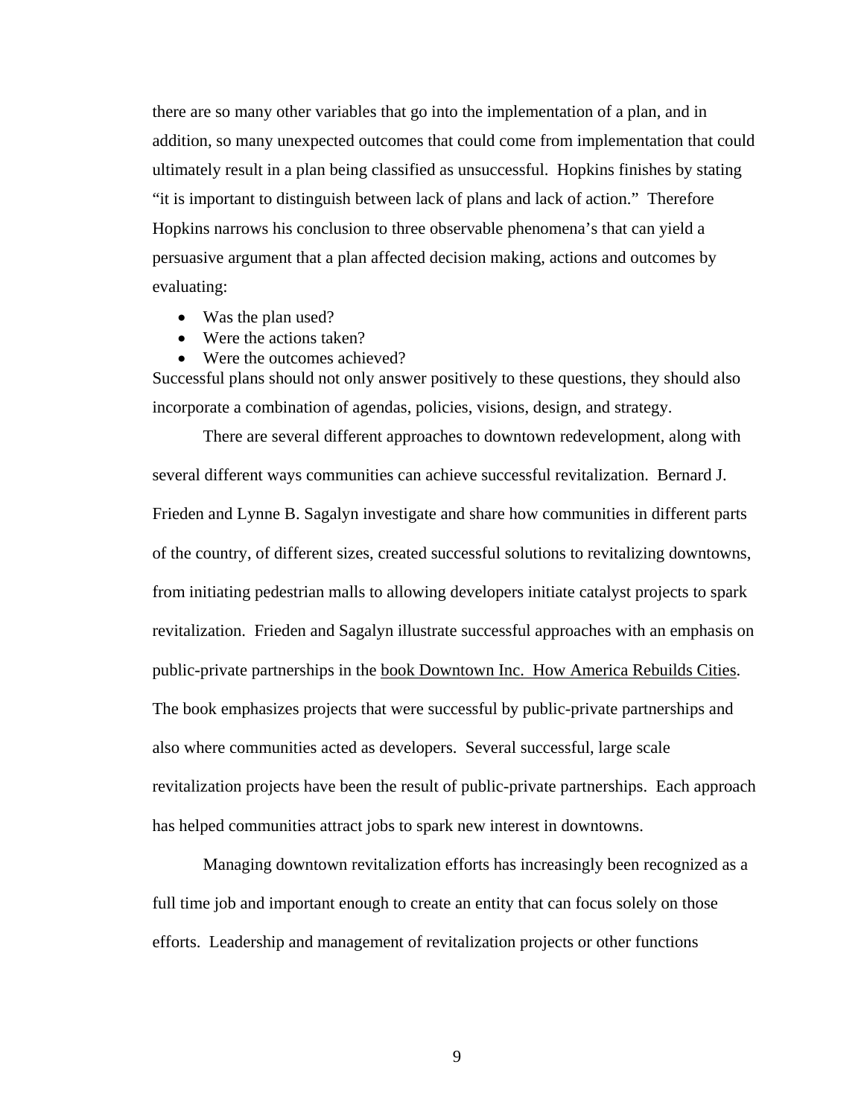there are so many other variables that go into the implementation of a plan, and in addition, so many unexpected outcomes that could come from implementation that could ultimately result in a plan being classified as unsuccessful. Hopkins finishes by stating "it is important to distinguish between lack of plans and lack of action." Therefore Hopkins narrows his conclusion to three observable phenomena's that can yield a persuasive argument that a plan affected decision making, actions and outcomes by evaluating:

- Was the plan used?
- Were the actions taken?
- Were the outcomes achieved?

Successful plans should not only answer positively to these questions, they should also incorporate a combination of agendas, policies, visions, design, and strategy.

There are several different approaches to downtown redevelopment, along with several different ways communities can achieve successful revitalization. Bernard J. Frieden and Lynne B. Sagalyn investigate and share how communities in different parts of the country, of different sizes, created successful solutions to revitalizing downtowns, from initiating pedestrian malls to allowing developers initiate catalyst projects to spark revitalization. Frieden and Sagalyn illustrate successful approaches with an emphasis on public-private partnerships in the book Downtown Inc. How America Rebuilds Cities. The book emphasizes projects that were successful by public-private partnerships and also where communities acted as developers. Several successful, large scale revitalization projects have been the result of public-private partnerships. Each approach has helped communities attract jobs to spark new interest in downtowns.

 Managing downtown revitalization efforts has increasingly been recognized as a full time job and important enough to create an entity that can focus solely on those efforts. Leadership and management of revitalization projects or other functions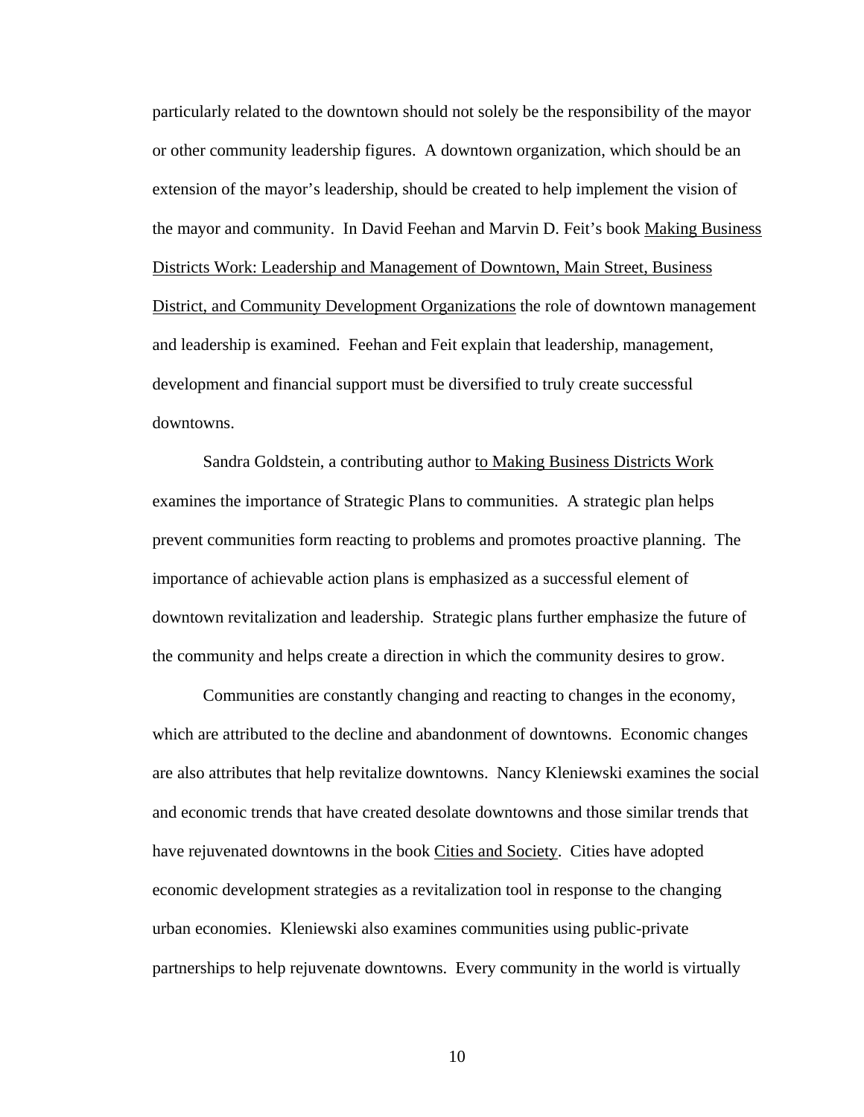particularly related to the downtown should not solely be the responsibility of the mayor or other community leadership figures. A downtown organization, which should be an extension of the mayor's leadership, should be created to help implement the vision of the mayor and community. In David Feehan and Marvin D. Feit's book Making Business Districts Work: Leadership and Management of Downtown, Main Street, Business District, and Community Development Organizations the role of downtown management and leadership is examined. Feehan and Feit explain that leadership, management, development and financial support must be diversified to truly create successful downtowns.

 Sandra Goldstein, a contributing author to Making Business Districts Work examines the importance of Strategic Plans to communities. A strategic plan helps prevent communities form reacting to problems and promotes proactive planning. The importance of achievable action plans is emphasized as a successful element of downtown revitalization and leadership. Strategic plans further emphasize the future of the community and helps create a direction in which the community desires to grow.

 Communities are constantly changing and reacting to changes in the economy, which are attributed to the decline and abandonment of downtowns. Economic changes are also attributes that help revitalize downtowns. Nancy Kleniewski examines the social and economic trends that have created desolate downtowns and those similar trends that have rejuvenated downtowns in the book Cities and Society. Cities have adopted economic development strategies as a revitalization tool in response to the changing urban economies. Kleniewski also examines communities using public-private partnerships to help rejuvenate downtowns. Every community in the world is virtually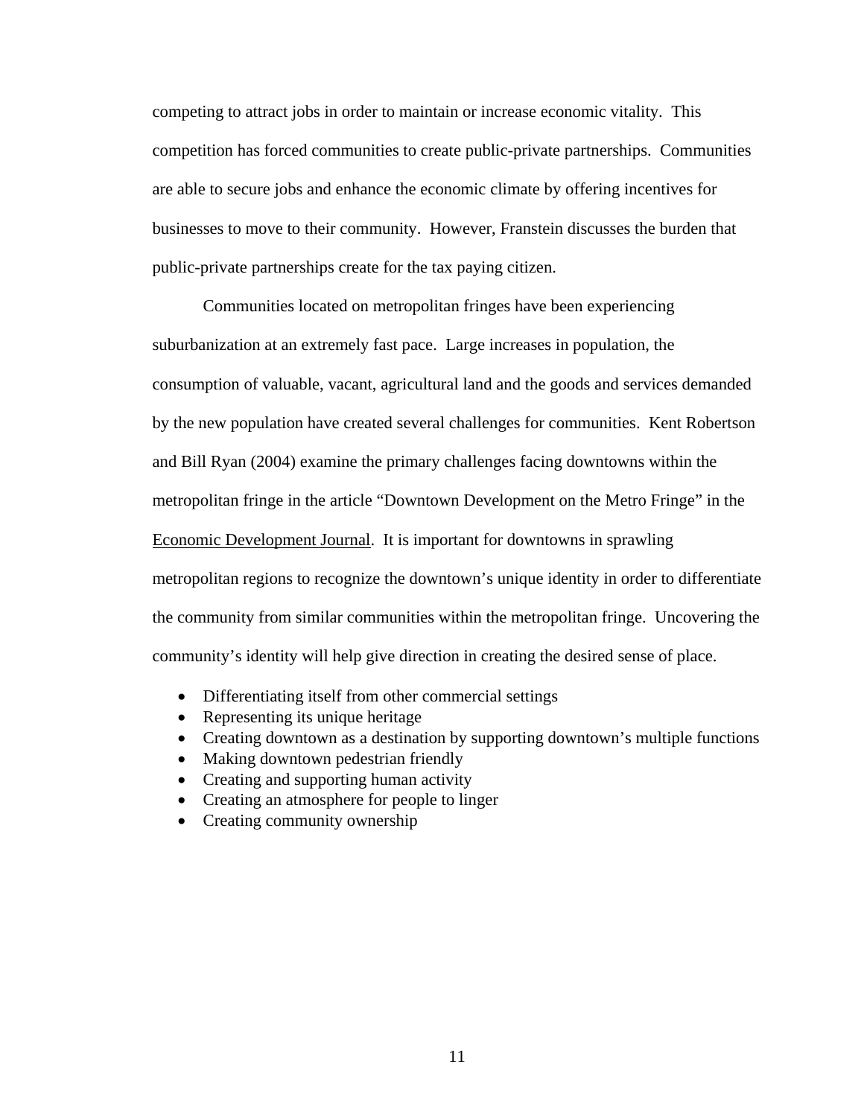competing to attract jobs in order to maintain or increase economic vitality. This competition has forced communities to create public-private partnerships. Communities are able to secure jobs and enhance the economic climate by offering incentives for businesses to move to their community. However, Franstein discusses the burden that public-private partnerships create for the tax paying citizen.

 Communities located on metropolitan fringes have been experiencing suburbanization at an extremely fast pace. Large increases in population, the consumption of valuable, vacant, agricultural land and the goods and services demanded by the new population have created several challenges for communities. Kent Robertson and Bill Ryan (2004) examine the primary challenges facing downtowns within the metropolitan fringe in the article "Downtown Development on the Metro Fringe" in the Economic Development Journal. It is important for downtowns in sprawling metropolitan regions to recognize the downtown's unique identity in order to differentiate the community from similar communities within the metropolitan fringe. Uncovering the community's identity will help give direction in creating the desired sense of place.

- Differentiating itself from other commercial settings
- Representing its unique heritage
- Creating downtown as a destination by supporting downtown's multiple functions
- Making downtown pedestrian friendly
- Creating and supporting human activity
- Creating an atmosphere for people to linger
- Creating community ownership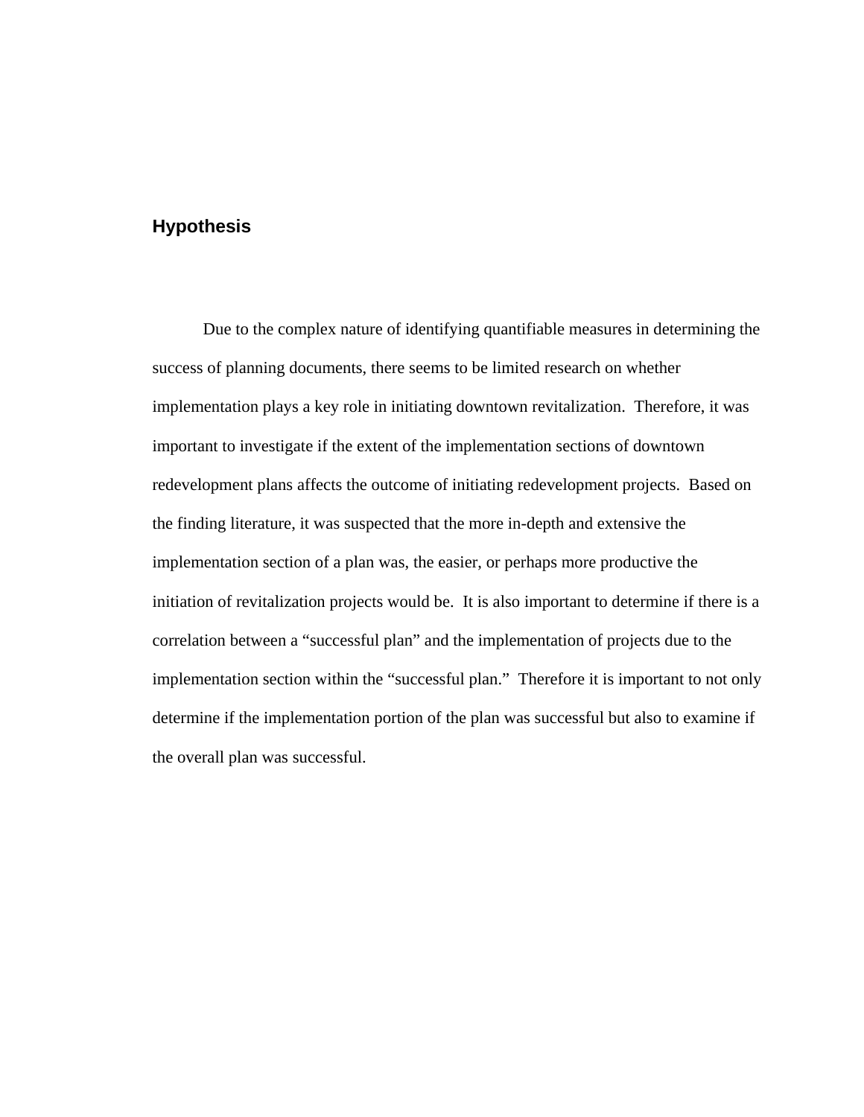# **Hypothesis**

 Due to the complex nature of identifying quantifiable measures in determining the success of planning documents, there seems to be limited research on whether implementation plays a key role in initiating downtown revitalization. Therefore, it was important to investigate if the extent of the implementation sections of downtown redevelopment plans affects the outcome of initiating redevelopment projects. Based on the finding literature, it was suspected that the more in-depth and extensive the implementation section of a plan was, the easier, or perhaps more productive the initiation of revitalization projects would be. It is also important to determine if there is a correlation between a "successful plan" and the implementation of projects due to the implementation section within the "successful plan." Therefore it is important to not only determine if the implementation portion of the plan was successful but also to examine if the overall plan was successful.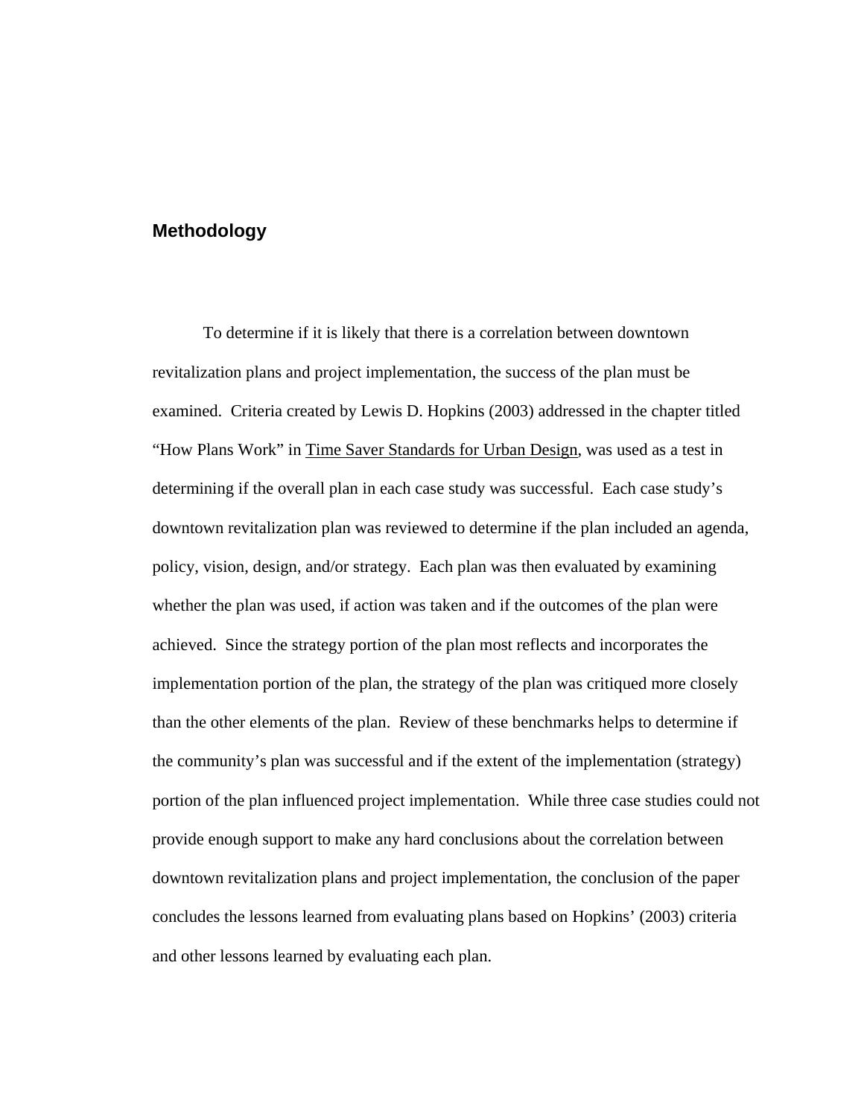#### **Methodology**

 To determine if it is likely that there is a correlation between downtown revitalization plans and project implementation, the success of the plan must be examined. Criteria created by Lewis D. Hopkins (2003) addressed in the chapter titled "How Plans Work" in Time Saver Standards for Urban Design, was used as a test in determining if the overall plan in each case study was successful. Each case study's downtown revitalization plan was reviewed to determine if the plan included an agenda, policy, vision, design, and/or strategy. Each plan was then evaluated by examining whether the plan was used, if action was taken and if the outcomes of the plan were achieved. Since the strategy portion of the plan most reflects and incorporates the implementation portion of the plan, the strategy of the plan was critiqued more closely than the other elements of the plan. Review of these benchmarks helps to determine if the community's plan was successful and if the extent of the implementation (strategy) portion of the plan influenced project implementation. While three case studies could not provide enough support to make any hard conclusions about the correlation between downtown revitalization plans and project implementation, the conclusion of the paper concludes the lessons learned from evaluating plans based on Hopkins' (2003) criteria and other lessons learned by evaluating each plan.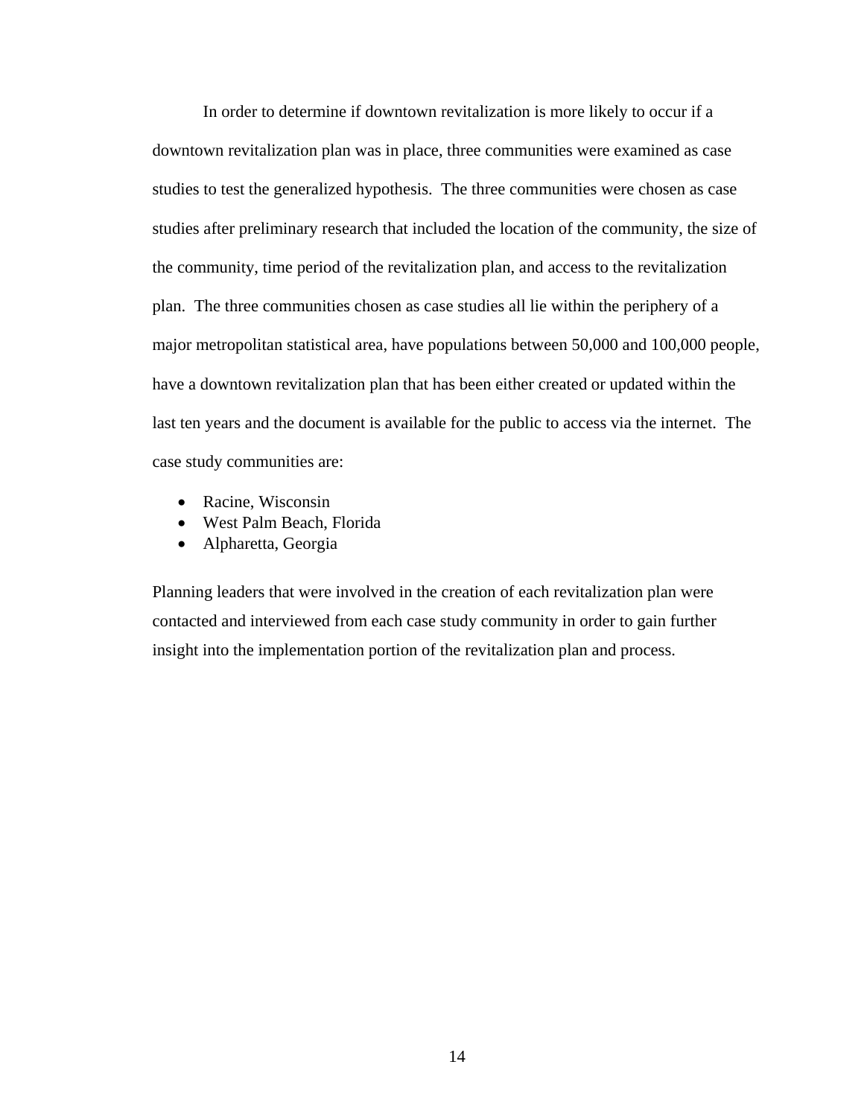In order to determine if downtown revitalization is more likely to occur if a downtown revitalization plan was in place, three communities were examined as case studies to test the generalized hypothesis. The three communities were chosen as case studies after preliminary research that included the location of the community, the size of the community, time period of the revitalization plan, and access to the revitalization plan. The three communities chosen as case studies all lie within the periphery of a major metropolitan statistical area, have populations between 50,000 and 100,000 people, have a downtown revitalization plan that has been either created or updated within the last ten years and the document is available for the public to access via the internet. The case study communities are:

- Racine, Wisconsin
- West Palm Beach, Florida
- Alpharetta, Georgia

Planning leaders that were involved in the creation of each revitalization plan were contacted and interviewed from each case study community in order to gain further insight into the implementation portion of the revitalization plan and process.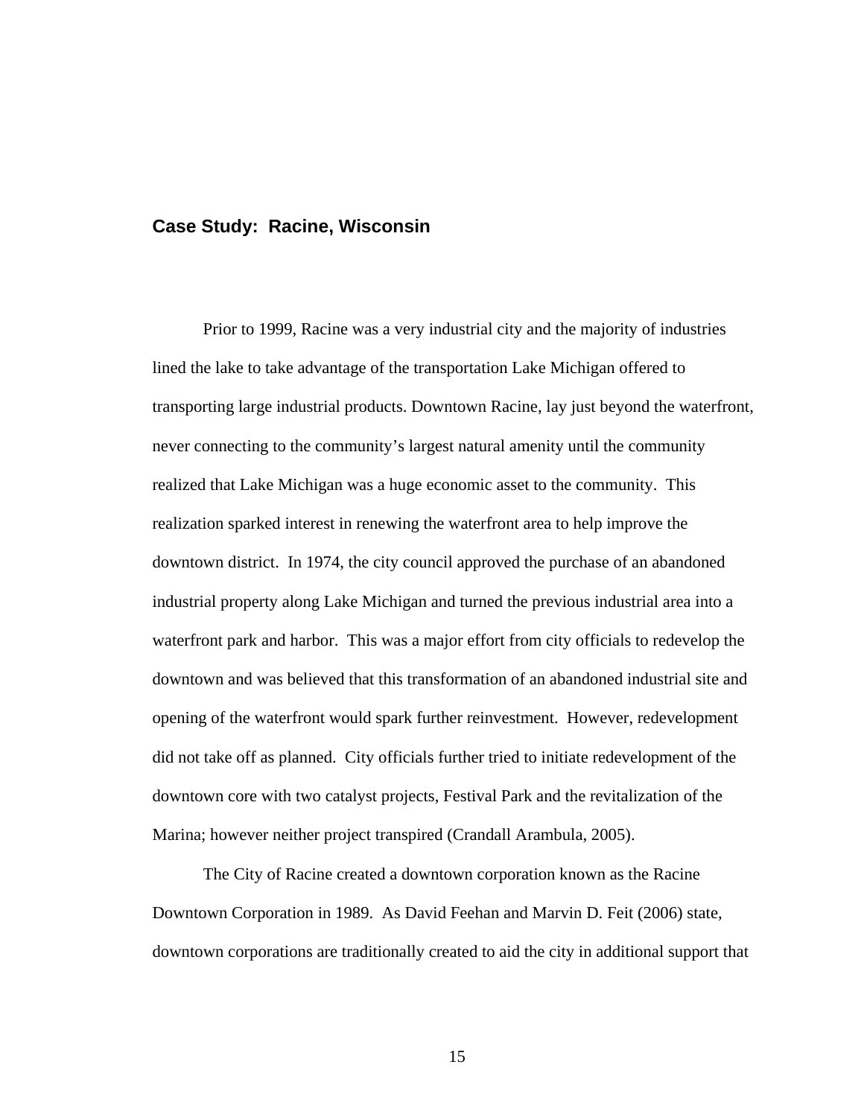#### **Case Study: Racine, Wisconsin**

Prior to 1999, Racine was a very industrial city and the majority of industries lined the lake to take advantage of the transportation Lake Michigan offered to transporting large industrial products. Downtown Racine, lay just beyond the waterfront, never connecting to the community's largest natural amenity until the community realized that Lake Michigan was a huge economic asset to the community. This realization sparked interest in renewing the waterfront area to help improve the downtown district. In 1974, the city council approved the purchase of an abandoned industrial property along Lake Michigan and turned the previous industrial area into a waterfront park and harbor. This was a major effort from city officials to redevelop the downtown and was believed that this transformation of an abandoned industrial site and opening of the waterfront would spark further reinvestment. However, redevelopment did not take off as planned. City officials further tried to initiate redevelopment of the downtown core with two catalyst projects, Festival Park and the revitalization of the Marina; however neither project transpired (Crandall Arambula, 2005).

 The City of Racine created a downtown corporation known as the Racine Downtown Corporation in 1989. As David Feehan and Marvin D. Feit (2006) state, downtown corporations are traditionally created to aid the city in additional support that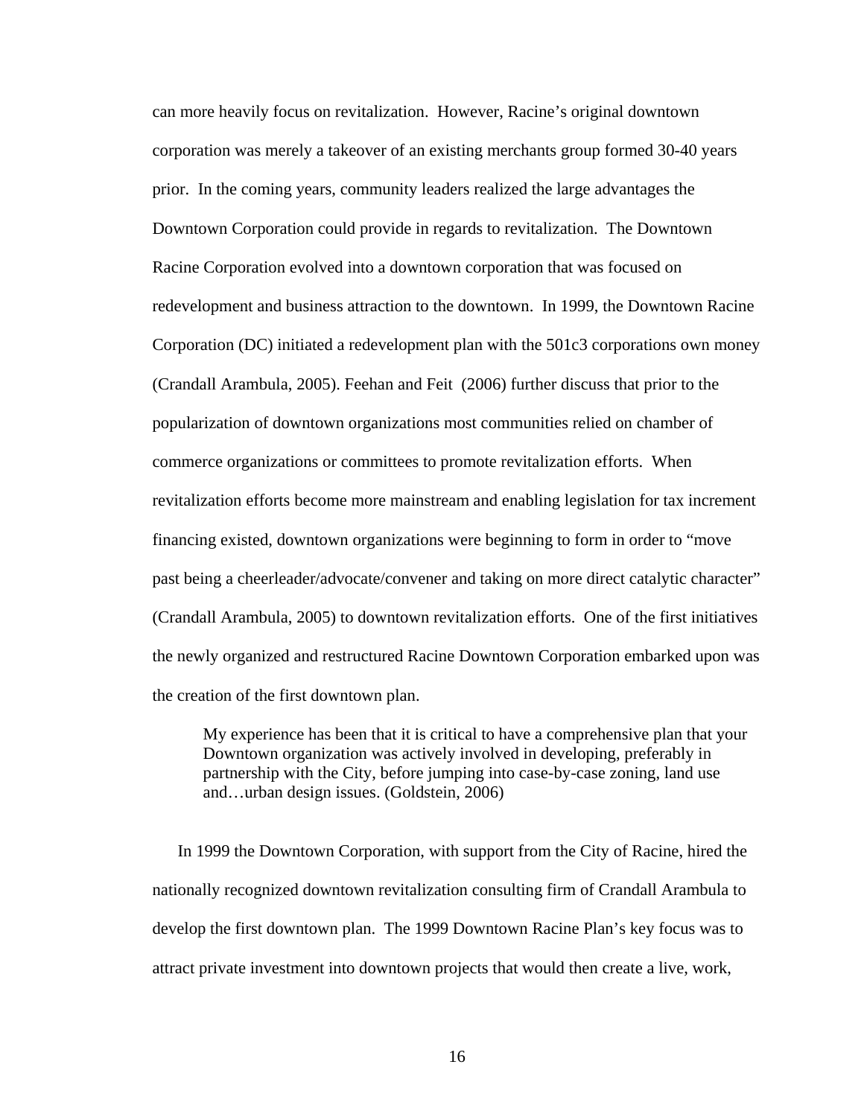can more heavily focus on revitalization. However, Racine's original downtown corporation was merely a takeover of an existing merchants group formed 30-40 years prior. In the coming years, community leaders realized the large advantages the Downtown Corporation could provide in regards to revitalization. The Downtown Racine Corporation evolved into a downtown corporation that was focused on redevelopment and business attraction to the downtown. In 1999, the Downtown Racine Corporation (DC) initiated a redevelopment plan with the 501c3 corporations own money (Crandall Arambula, 2005). Feehan and Feit (2006) further discuss that prior to the popularization of downtown organizations most communities relied on chamber of commerce organizations or committees to promote revitalization efforts. When revitalization efforts become more mainstream and enabling legislation for tax increment financing existed, downtown organizations were beginning to form in order to "move past being a cheerleader/advocate/convener and taking on more direct catalytic character" (Crandall Arambula, 2005) to downtown revitalization efforts. One of the first initiatives the newly organized and restructured Racine Downtown Corporation embarked upon was the creation of the first downtown plan.

 My experience has been that it is critical to have a comprehensive plan that your Downtown organization was actively involved in developing, preferably in partnership with the City, before jumping into case-by-case zoning, land use and…urban design issues. (Goldstein, 2006)

In 1999 the Downtown Corporation, with support from the City of Racine, hired the nationally recognized downtown revitalization consulting firm of Crandall Arambula to develop the first downtown plan. The 1999 Downtown Racine Plan's key focus was to attract private investment into downtown projects that would then create a live, work,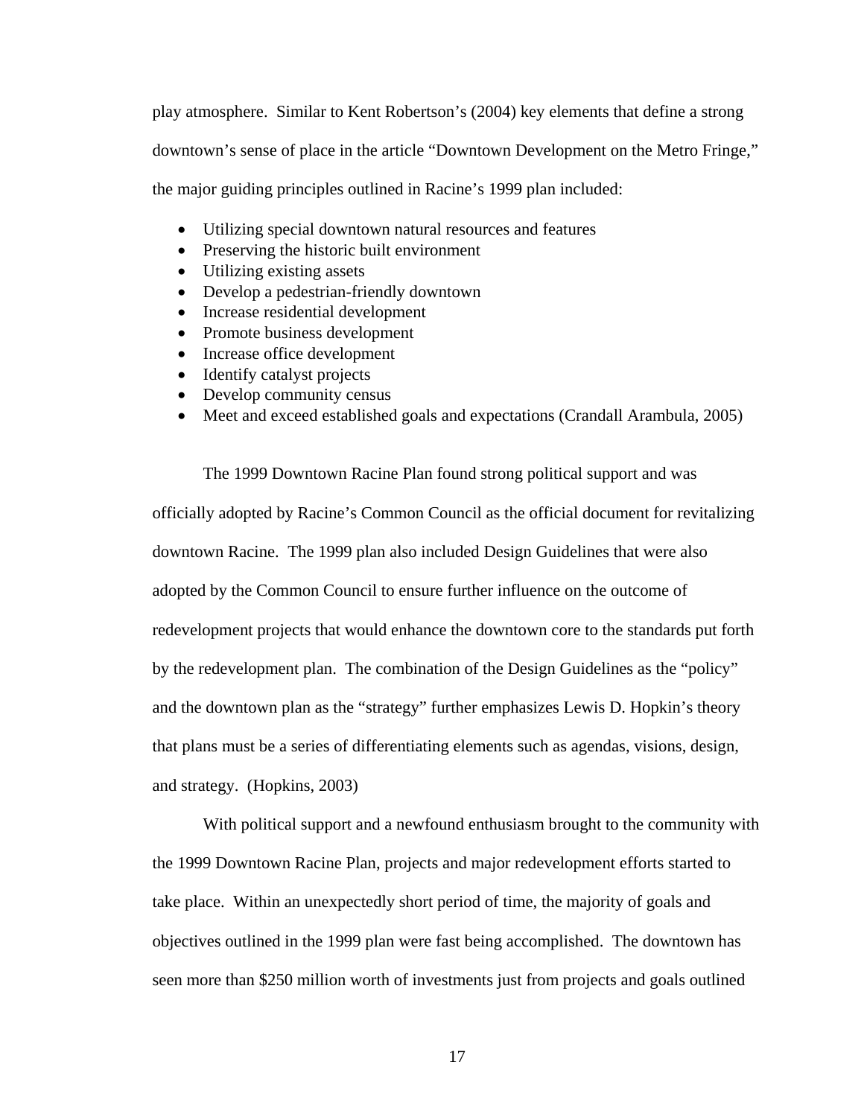play atmosphere. Similar to Kent Robertson's (2004) key elements that define a strong downtown's sense of place in the article "Downtown Development on the Metro Fringe," the major guiding principles outlined in Racine's 1999 plan included:

- Utilizing special downtown natural resources and features
- Preserving the historic built environment
- Utilizing existing assets
- Develop a pedestrian-friendly downtown
- Increase residential development
- Promote business development
- Increase office development
- Identify catalyst projects
- Develop community census
- Meet and exceed established goals and expectations (Crandall Arambula, 2005)

 The 1999 Downtown Racine Plan found strong political support and was officially adopted by Racine's Common Council as the official document for revitalizing downtown Racine. The 1999 plan also included Design Guidelines that were also adopted by the Common Council to ensure further influence on the outcome of redevelopment projects that would enhance the downtown core to the standards put forth by the redevelopment plan. The combination of the Design Guidelines as the "policy" and the downtown plan as the "strategy" further emphasizes Lewis D. Hopkin's theory that plans must be a series of differentiating elements such as agendas, visions, design, and strategy. (Hopkins, 2003)

 With political support and a newfound enthusiasm brought to the community with the 1999 Downtown Racine Plan, projects and major redevelopment efforts started to take place. Within an unexpectedly short period of time, the majority of goals and objectives outlined in the 1999 plan were fast being accomplished. The downtown has seen more than \$250 million worth of investments just from projects and goals outlined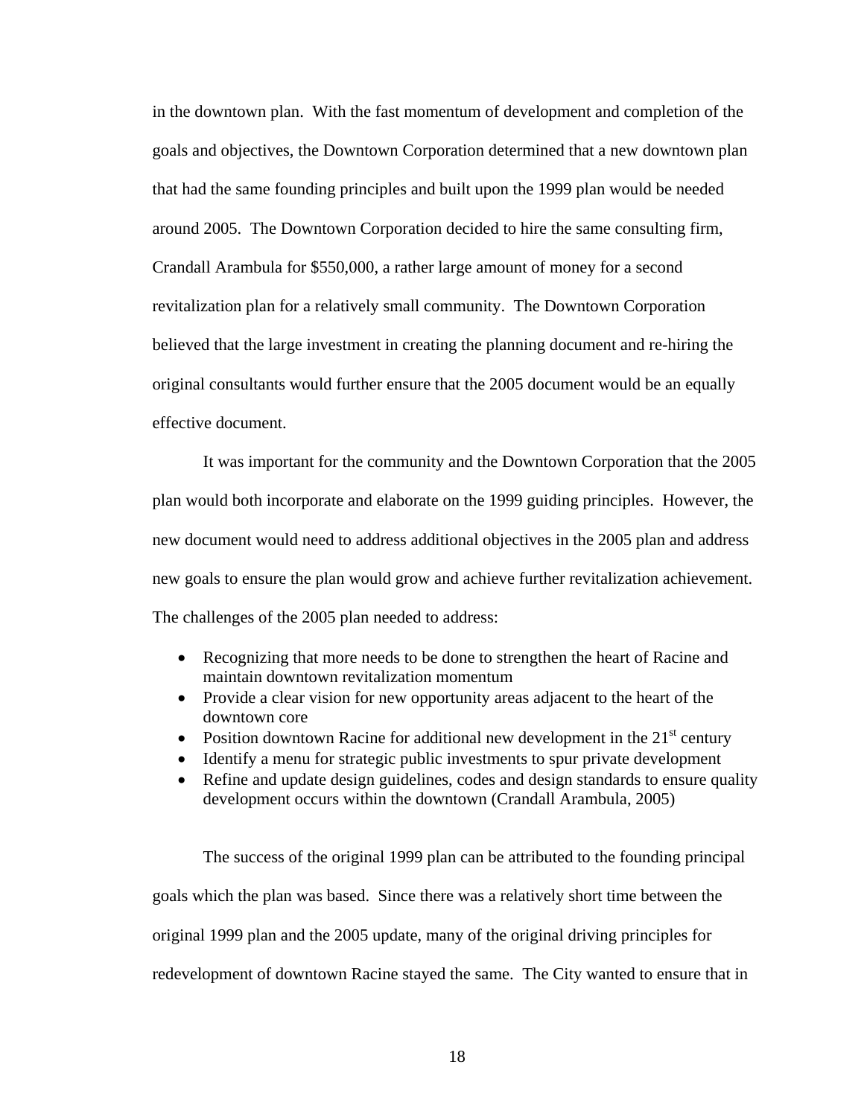in the downtown plan. With the fast momentum of development and completion of the goals and objectives, the Downtown Corporation determined that a new downtown plan that had the same founding principles and built upon the 1999 plan would be needed around 2005. The Downtown Corporation decided to hire the same consulting firm, Crandall Arambula for \$550,000, a rather large amount of money for a second revitalization plan for a relatively small community. The Downtown Corporation believed that the large investment in creating the planning document and re-hiring the original consultants would further ensure that the 2005 document would be an equally effective document.

It was important for the community and the Downtown Corporation that the 2005 plan would both incorporate and elaborate on the 1999 guiding principles. However, the new document would need to address additional objectives in the 2005 plan and address new goals to ensure the plan would grow and achieve further revitalization achievement. The challenges of the 2005 plan needed to address:

- Recognizing that more needs to be done to strengthen the heart of Racine and maintain downtown revitalization momentum
- Provide a clear vision for new opportunity areas adjacent to the heart of the downtown core
- Position downtown Racine for additional new development in the  $21<sup>st</sup>$  century
- Identify a menu for strategic public investments to spur private development
- Refine and update design guidelines, codes and design standards to ensure quality development occurs within the downtown (Crandall Arambula, 2005)

 The success of the original 1999 plan can be attributed to the founding principal goals which the plan was based. Since there was a relatively short time between the original 1999 plan and the 2005 update, many of the original driving principles for redevelopment of downtown Racine stayed the same. The City wanted to ensure that in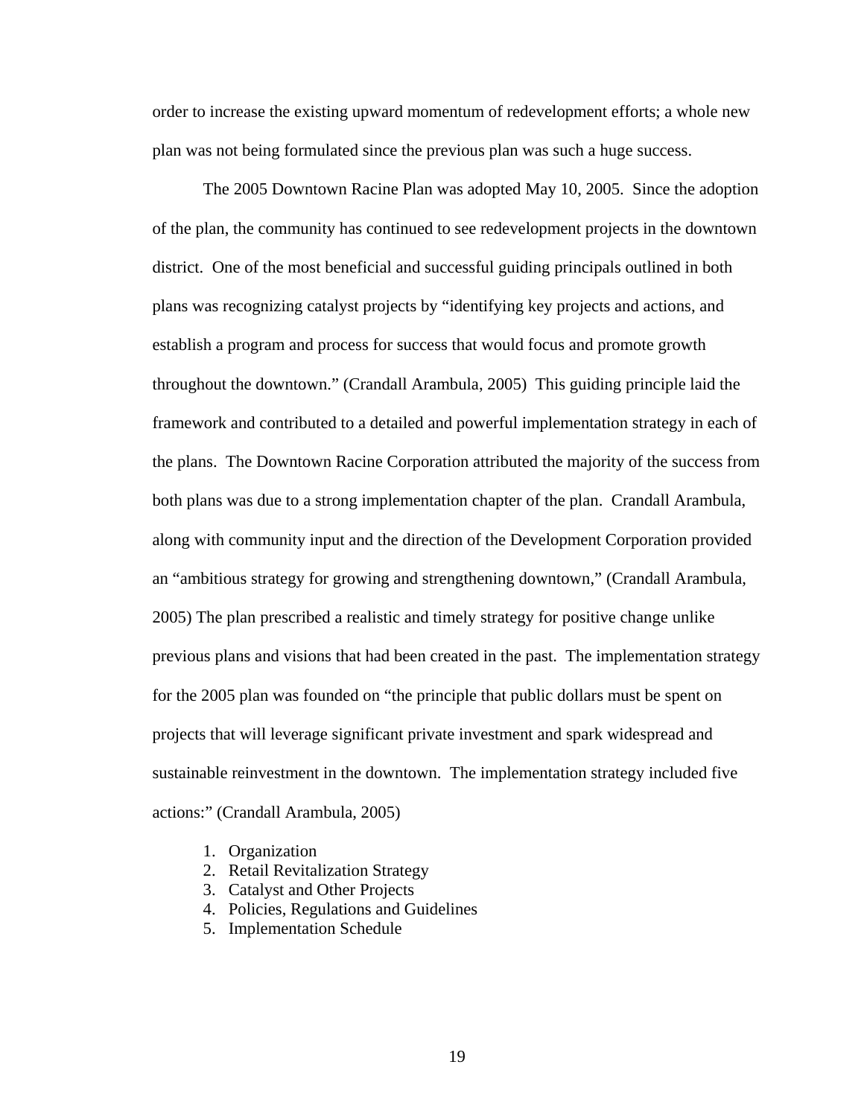order to increase the existing upward momentum of redevelopment efforts; a whole new plan was not being formulated since the previous plan was such a huge success.

 The 2005 Downtown Racine Plan was adopted May 10, 2005. Since the adoption of the plan, the community has continued to see redevelopment projects in the downtown district. One of the most beneficial and successful guiding principals outlined in both plans was recognizing catalyst projects by "identifying key projects and actions, and establish a program and process for success that would focus and promote growth throughout the downtown." (Crandall Arambula, 2005) This guiding principle laid the framework and contributed to a detailed and powerful implementation strategy in each of the plans. The Downtown Racine Corporation attributed the majority of the success from both plans was due to a strong implementation chapter of the plan. Crandall Arambula, along with community input and the direction of the Development Corporation provided an "ambitious strategy for growing and strengthening downtown," (Crandall Arambula, 2005) The plan prescribed a realistic and timely strategy for positive change unlike previous plans and visions that had been created in the past. The implementation strategy for the 2005 plan was founded on "the principle that public dollars must be spent on projects that will leverage significant private investment and spark widespread and sustainable reinvestment in the downtown. The implementation strategy included five actions:" (Crandall Arambula, 2005)

- 1. Organization
- 2. Retail Revitalization Strategy
- 3. Catalyst and Other Projects
- 4. Policies, Regulations and Guidelines
- 5. Implementation Schedule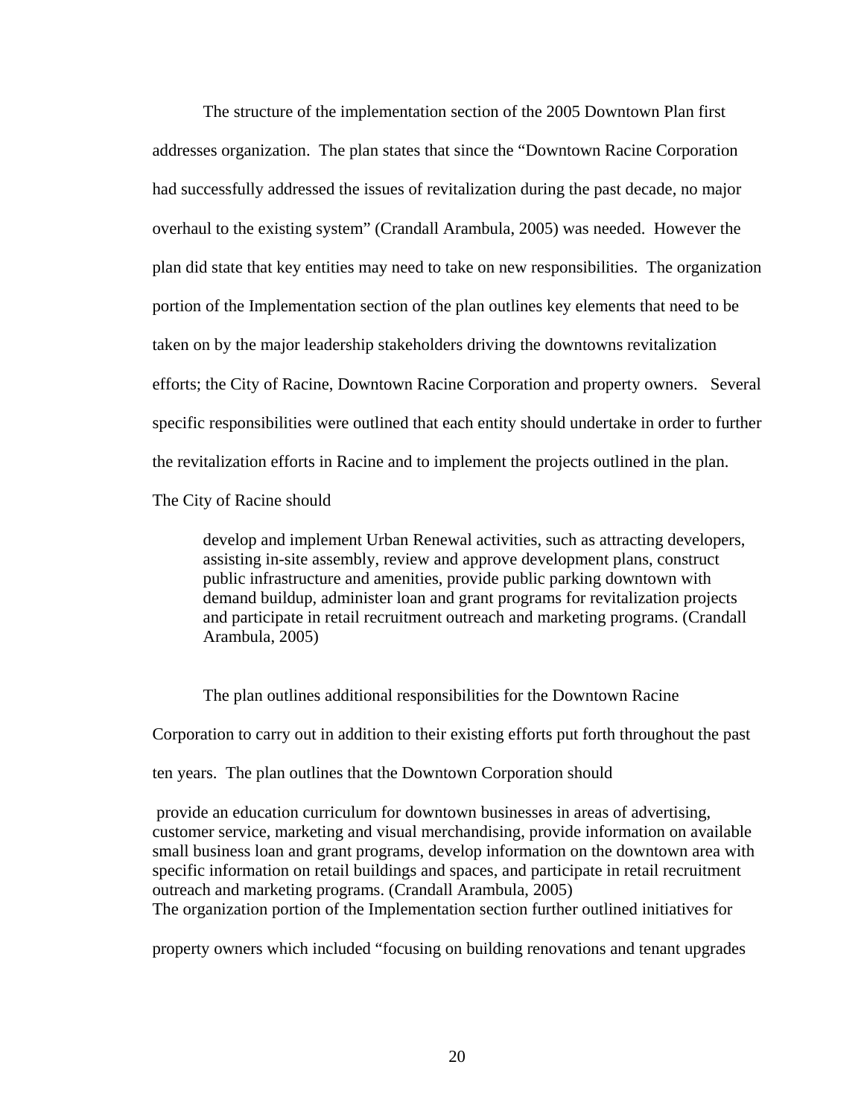The structure of the implementation section of the 2005 Downtown Plan first addresses organization. The plan states that since the "Downtown Racine Corporation had successfully addressed the issues of revitalization during the past decade, no major overhaul to the existing system" (Crandall Arambula, 2005) was needed. However the plan did state that key entities may need to take on new responsibilities. The organization portion of the Implementation section of the plan outlines key elements that need to be taken on by the major leadership stakeholders driving the downtowns revitalization efforts; the City of Racine, Downtown Racine Corporation and property owners. Several specific responsibilities were outlined that each entity should undertake in order to further the revitalization efforts in Racine and to implement the projects outlined in the plan. The City of Racine should

 develop and implement Urban Renewal activities, such as attracting developers, assisting in-site assembly, review and approve development plans, construct public infrastructure and amenities, provide public parking downtown with demand buildup, administer loan and grant programs for revitalization projects and participate in retail recruitment outreach and marketing programs. (Crandall Arambula, 2005)

 The plan outlines additional responsibilities for the Downtown Racine Corporation to carry out in addition to their existing efforts put forth throughout the past ten years. The plan outlines that the Downtown Corporation should

 provide an education curriculum for downtown businesses in areas of advertising, customer service, marketing and visual merchandising, provide information on available small business loan and grant programs, develop information on the downtown area with specific information on retail buildings and spaces, and participate in retail recruitment outreach and marketing programs. (Crandall Arambula, 2005) The organization portion of the Implementation section further outlined initiatives for

property owners which included "focusing on building renovations and tenant upgrades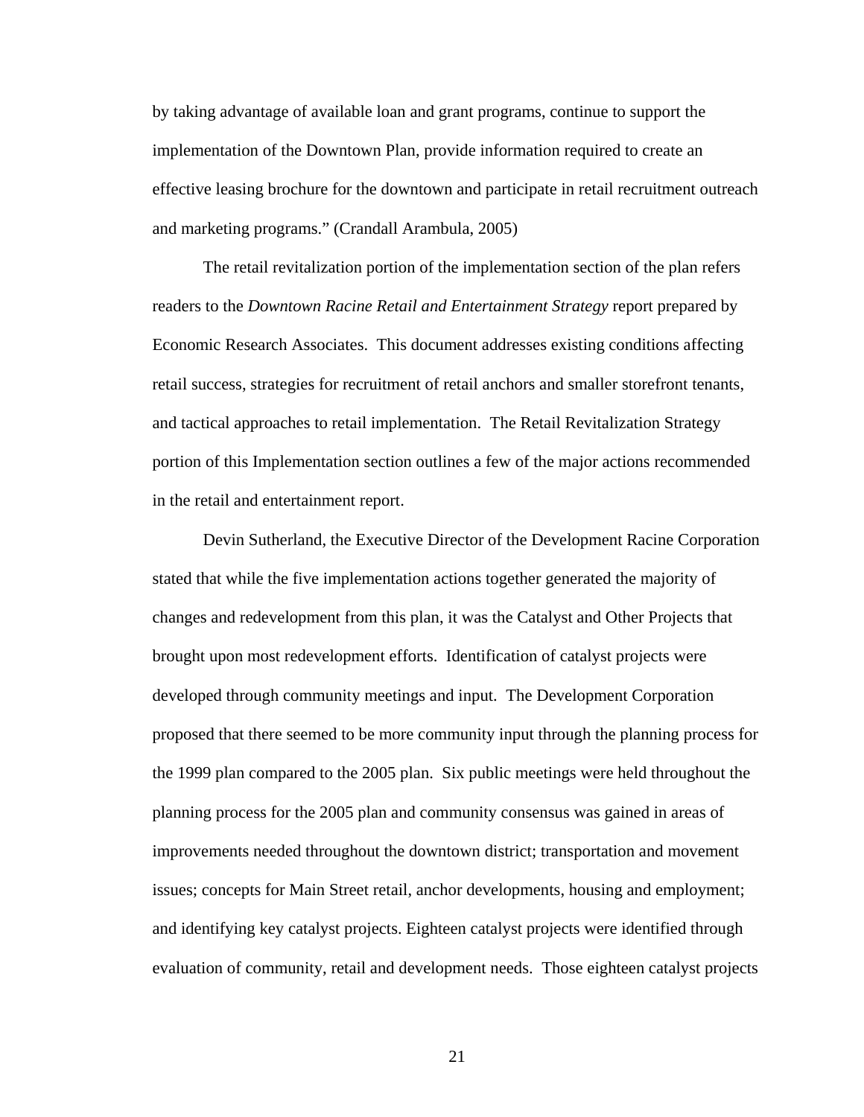by taking advantage of available loan and grant programs, continue to support the implementation of the Downtown Plan, provide information required to create an effective leasing brochure for the downtown and participate in retail recruitment outreach and marketing programs." (Crandall Arambula, 2005)

 The retail revitalization portion of the implementation section of the plan refers readers to the *Downtown Racine Retail and Entertainment Strategy* report prepared by Economic Research Associates. This document addresses existing conditions affecting retail success, strategies for recruitment of retail anchors and smaller storefront tenants, and tactical approaches to retail implementation. The Retail Revitalization Strategy portion of this Implementation section outlines a few of the major actions recommended in the retail and entertainment report.

 Devin Sutherland, the Executive Director of the Development Racine Corporation stated that while the five implementation actions together generated the majority of changes and redevelopment from this plan, it was the Catalyst and Other Projects that brought upon most redevelopment efforts. Identification of catalyst projects were developed through community meetings and input. The Development Corporation proposed that there seemed to be more community input through the planning process for the 1999 plan compared to the 2005 plan. Six public meetings were held throughout the planning process for the 2005 plan and community consensus was gained in areas of improvements needed throughout the downtown district; transportation and movement issues; concepts for Main Street retail, anchor developments, housing and employment; and identifying key catalyst projects. Eighteen catalyst projects were identified through evaluation of community, retail and development needs. Those eighteen catalyst projects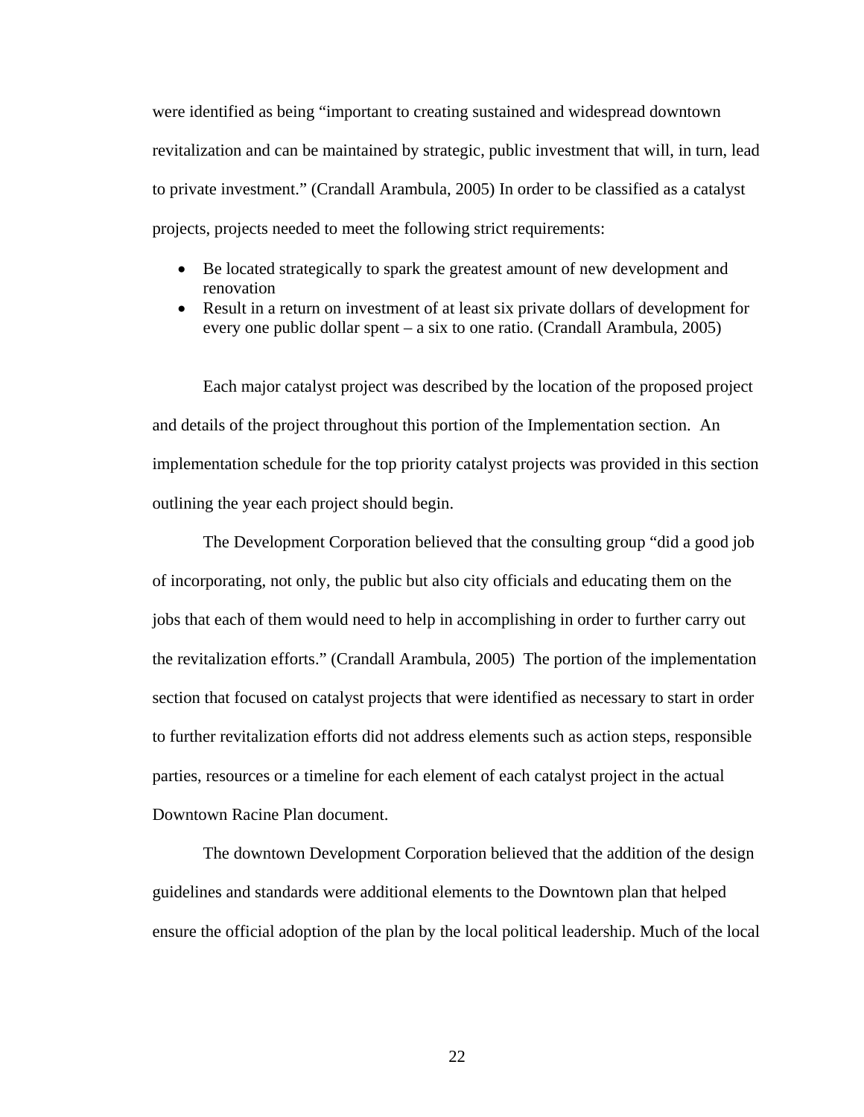were identified as being "important to creating sustained and widespread downtown revitalization and can be maintained by strategic, public investment that will, in turn, lead to private investment." (Crandall Arambula, 2005) In order to be classified as a catalyst projects, projects needed to meet the following strict requirements:

- Be located strategically to spark the greatest amount of new development and renovation
- Result in a return on investment of at least six private dollars of development for every one public dollar spent – a six to one ratio. (Crandall Arambula, 2005)

Each major catalyst project was described by the location of the proposed project and details of the project throughout this portion of the Implementation section. An implementation schedule for the top priority catalyst projects was provided in this section outlining the year each project should begin.

 The Development Corporation believed that the consulting group "did a good job of incorporating, not only, the public but also city officials and educating them on the jobs that each of them would need to help in accomplishing in order to further carry out the revitalization efforts." (Crandall Arambula, 2005) The portion of the implementation section that focused on catalyst projects that were identified as necessary to start in order to further revitalization efforts did not address elements such as action steps, responsible parties, resources or a timeline for each element of each catalyst project in the actual Downtown Racine Plan document.

 The downtown Development Corporation believed that the addition of the design guidelines and standards were additional elements to the Downtown plan that helped ensure the official adoption of the plan by the local political leadership. Much of the local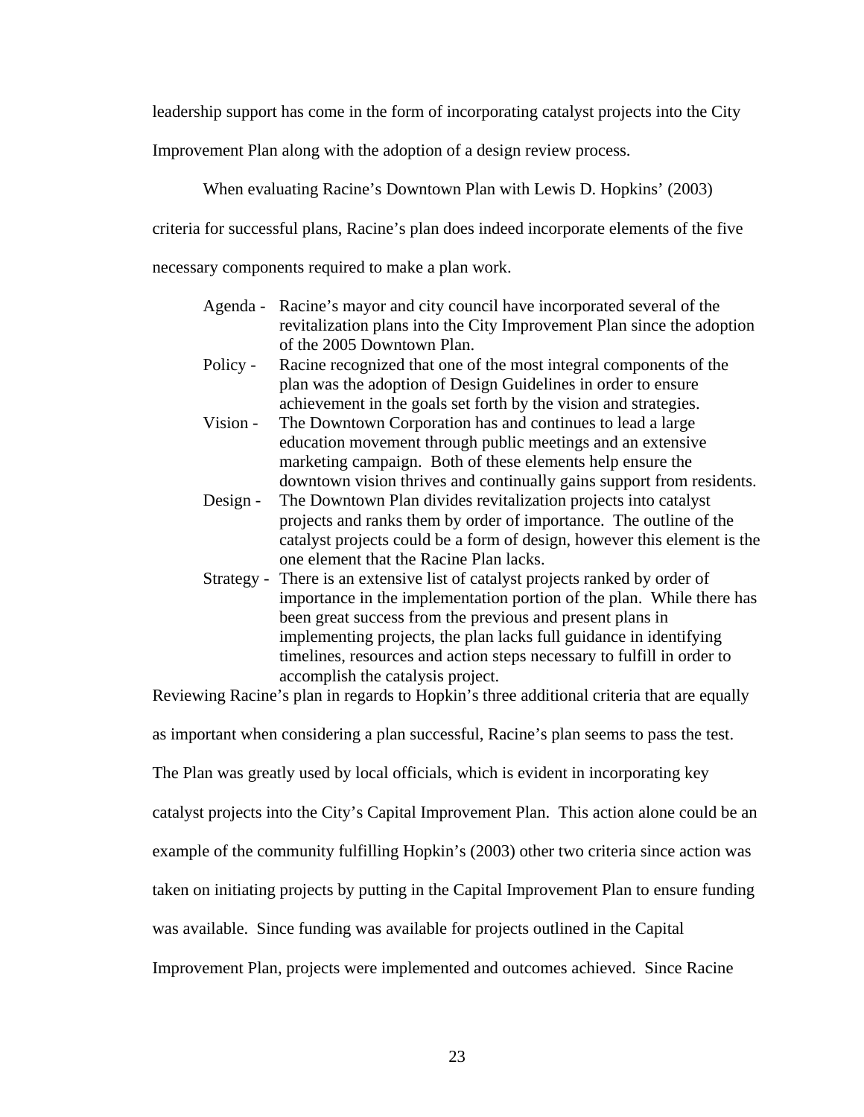leadership support has come in the form of incorporating catalyst projects into the City

Improvement Plan along with the adoption of a design review process.

When evaluating Racine's Downtown Plan with Lewis D. Hopkins' (2003)

criteria for successful plans, Racine's plan does indeed incorporate elements of the five

necessary components required to make a plan work.

- Agenda Racine's mayor and city council have incorporated several of the revitalization plans into the City Improvement Plan since the adoption of the 2005 Downtown Plan.
- Policy Racine recognized that one of the most integral components of the plan was the adoption of Design Guidelines in order to ensure achievement in the goals set forth by the vision and strategies.
- Vision The Downtown Corporation has and continues to lead a large education movement through public meetings and an extensive marketing campaign. Both of these elements help ensure the downtown vision thrives and continually gains support from residents.
- Design The Downtown Plan divides revitalization projects into catalyst projects and ranks them by order of importance. The outline of the catalyst projects could be a form of design, however this element is the one element that the Racine Plan lacks.
- Strategy There is an extensive list of catalyst projects ranked by order of importance in the implementation portion of the plan. While there has been great success from the previous and present plans in implementing projects, the plan lacks full guidance in identifying timelines, resources and action steps necessary to fulfill in order to accomplish the catalysis project.

Reviewing Racine's plan in regards to Hopkin's three additional criteria that are equally

as important when considering a plan successful, Racine's plan seems to pass the test.

The Plan was greatly used by local officials, which is evident in incorporating key

catalyst projects into the City's Capital Improvement Plan. This action alone could be an

example of the community fulfilling Hopkin's (2003) other two criteria since action was

taken on initiating projects by putting in the Capital Improvement Plan to ensure funding

was available. Since funding was available for projects outlined in the Capital

Improvement Plan, projects were implemented and outcomes achieved. Since Racine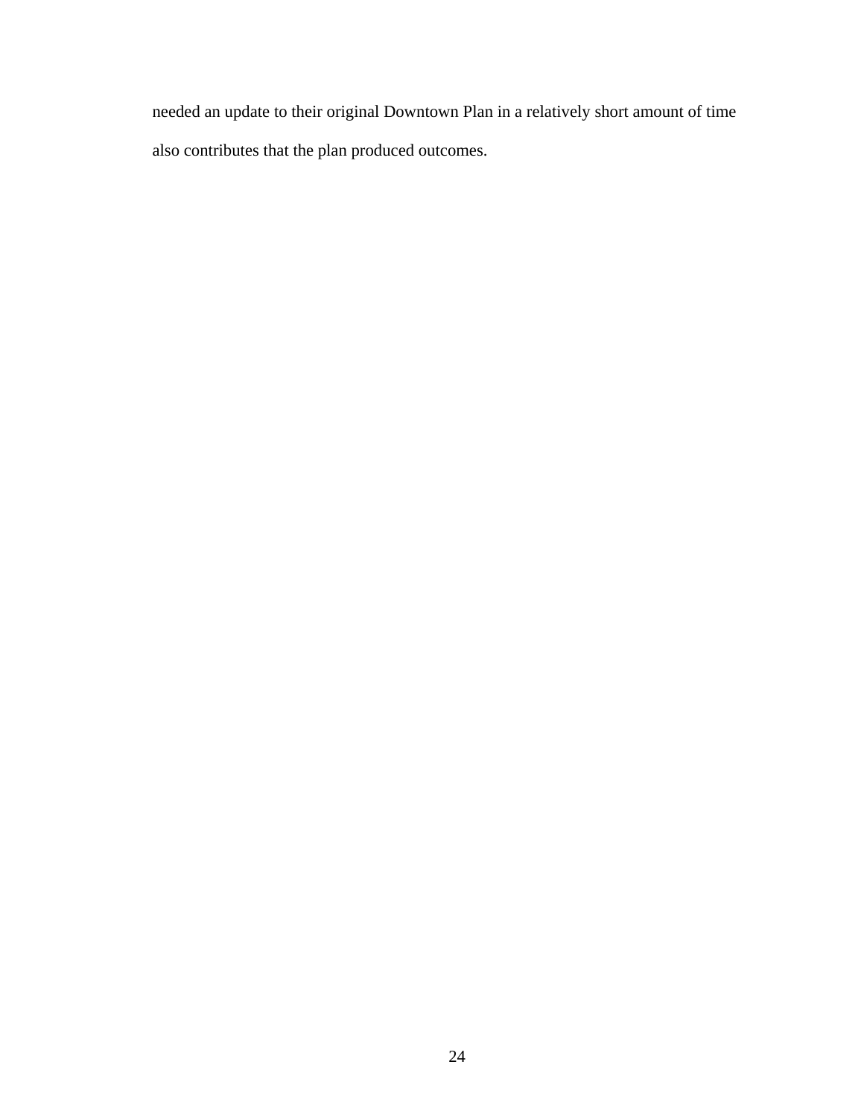needed an update to their original Downtown Plan in a relatively short amount of time also contributes that the plan produced outcomes.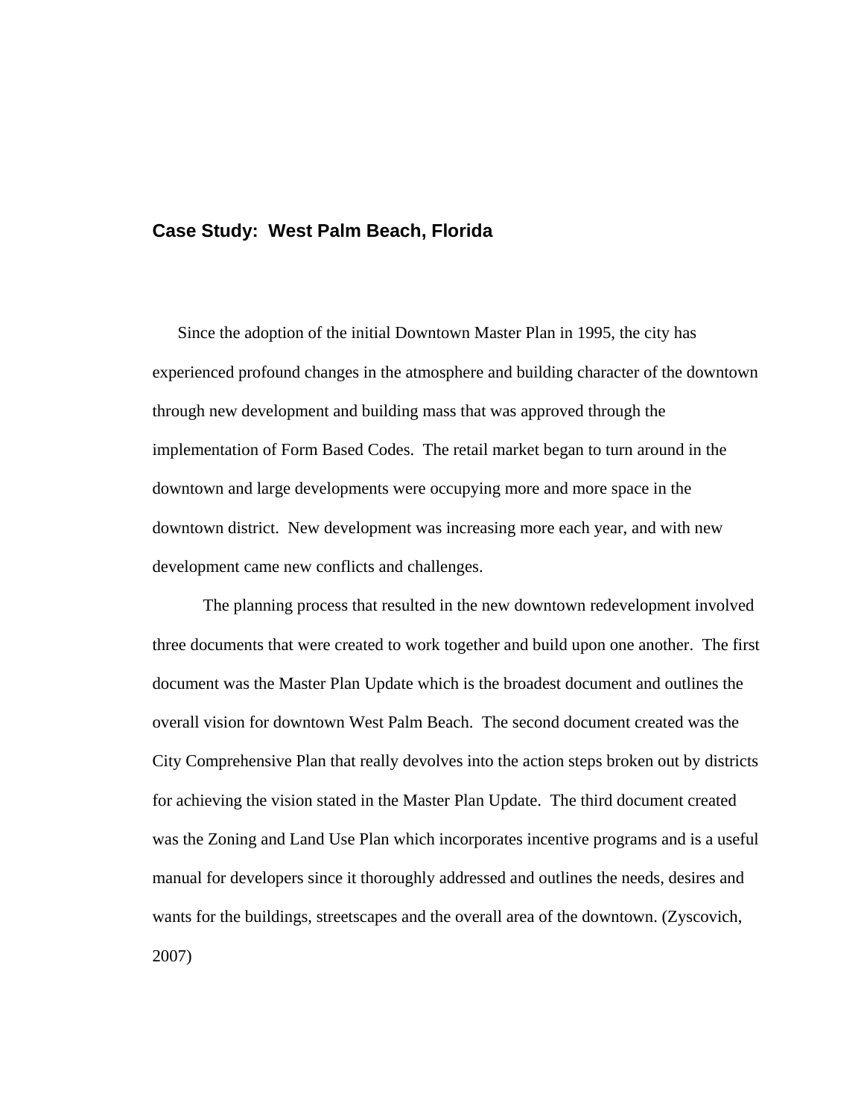#### **Case Study: West Palm Beach, Florida**

Since the adoption of the initial Downtown Master Plan in 1995, the city has experienced profound changes in the atmosphere and building character of the downtown through new development and building mass that was approved through the implementation of Form Based Codes. The retail market began to turn around in the downtown and large developments were occupying more and more space in the downtown district. New development was increasing more each year, and with new development came new conflicts and challenges.

The planning process that resulted in the new downtown redevelopment involved three documents that were created to work together and build upon one another. The first document was the Master Plan Update which is the broadest document and outlines the overall vision for downtown West Palm Beach. The second document created was the City Comprehensive Plan that really devolves into the action steps broken out by districts for achieving the vision stated in the Master Plan Update. The third document created was the Zoning and Land Use Plan which incorporates incentive programs and is a useful manual for developers since it thoroughly addressed and outlines the needs, desires and wants for the buildings, streetscapes and the overall area of the downtown. (Zyscovich, 2007)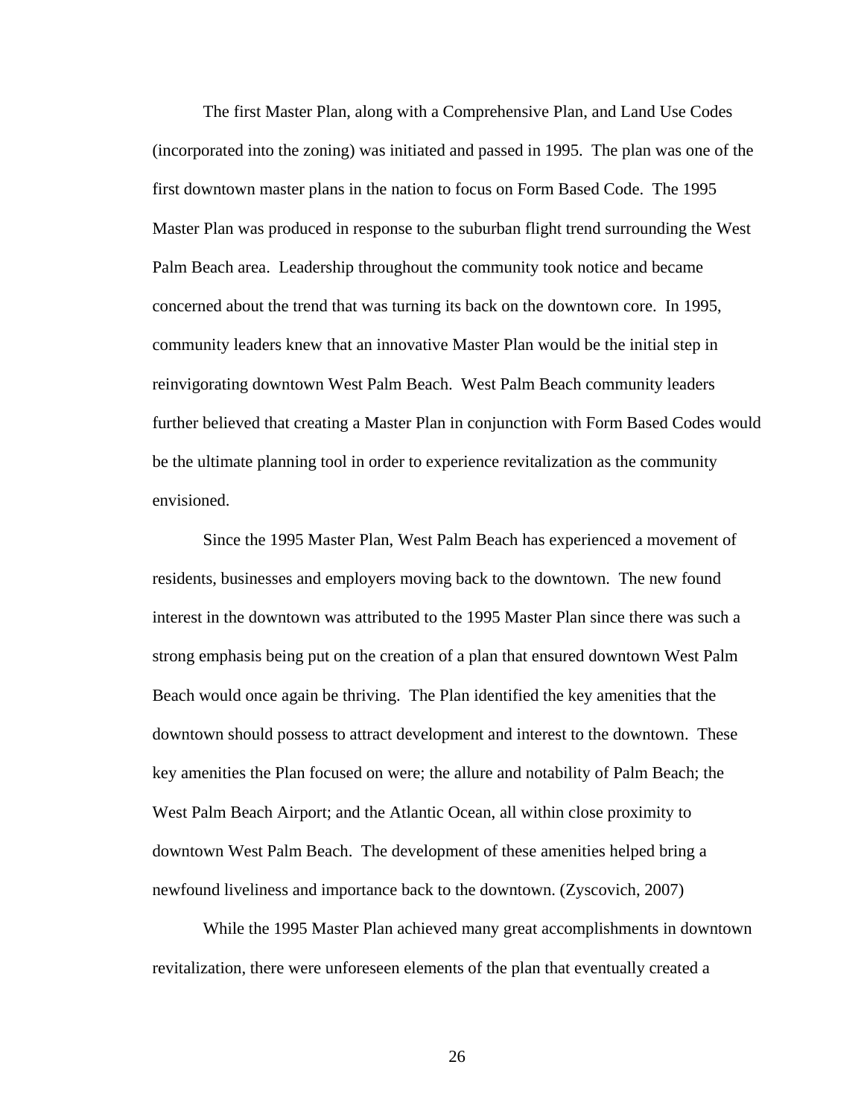The first Master Plan, along with a Comprehensive Plan, and Land Use Codes (incorporated into the zoning) was initiated and passed in 1995. The plan was one of the first downtown master plans in the nation to focus on Form Based Code. The 1995 Master Plan was produced in response to the suburban flight trend surrounding the West Palm Beach area. Leadership throughout the community took notice and became concerned about the trend that was turning its back on the downtown core. In 1995, community leaders knew that an innovative Master Plan would be the initial step in reinvigorating downtown West Palm Beach. West Palm Beach community leaders further believed that creating a Master Plan in conjunction with Form Based Codes would be the ultimate planning tool in order to experience revitalization as the community envisioned.

 Since the 1995 Master Plan, West Palm Beach has experienced a movement of residents, businesses and employers moving back to the downtown. The new found interest in the downtown was attributed to the 1995 Master Plan since there was such a strong emphasis being put on the creation of a plan that ensured downtown West Palm Beach would once again be thriving. The Plan identified the key amenities that the downtown should possess to attract development and interest to the downtown. These key amenities the Plan focused on were; the allure and notability of Palm Beach; the West Palm Beach Airport; and the Atlantic Ocean, all within close proximity to downtown West Palm Beach. The development of these amenities helped bring a newfound liveliness and importance back to the downtown. (Zyscovich, 2007)

 While the 1995 Master Plan achieved many great accomplishments in downtown revitalization, there were unforeseen elements of the plan that eventually created a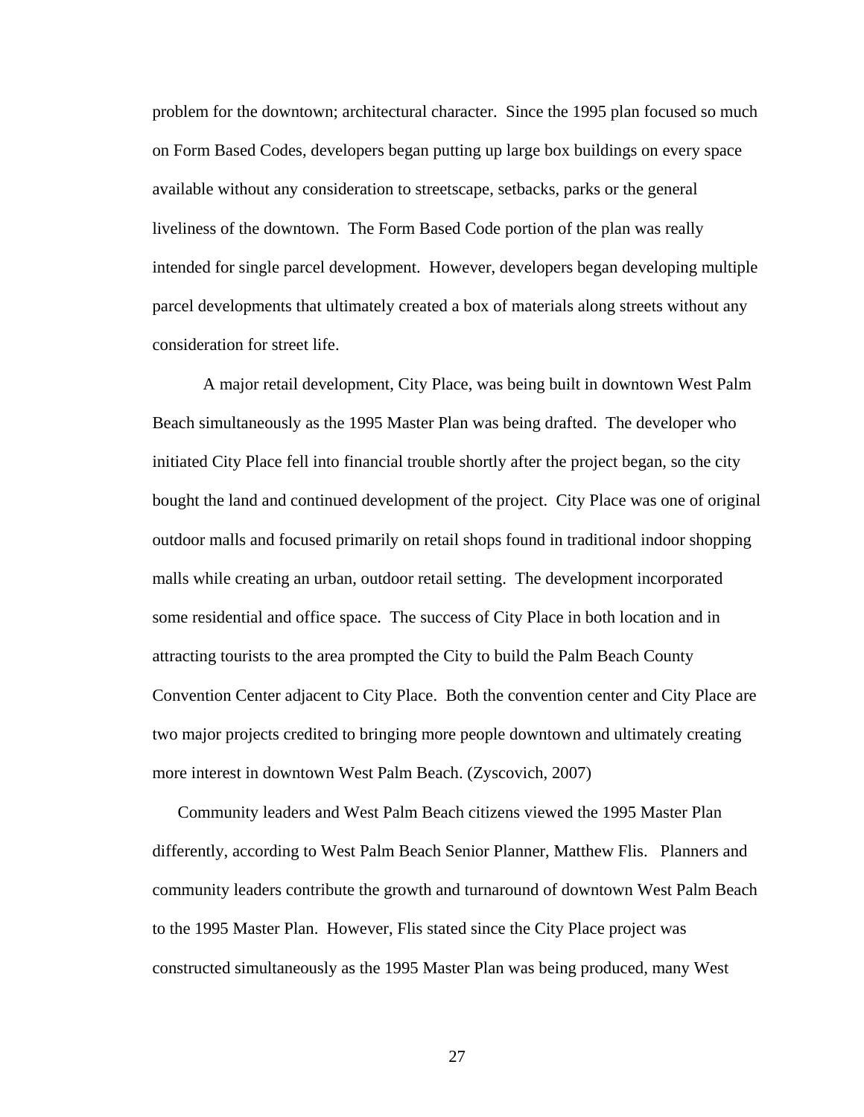problem for the downtown; architectural character. Since the 1995 plan focused so much on Form Based Codes, developers began putting up large box buildings on every space available without any consideration to streetscape, setbacks, parks or the general liveliness of the downtown. The Form Based Code portion of the plan was really intended for single parcel development. However, developers began developing multiple parcel developments that ultimately created a box of materials along streets without any consideration for street life.

 A major retail development, City Place, was being built in downtown West Palm Beach simultaneously as the 1995 Master Plan was being drafted. The developer who initiated City Place fell into financial trouble shortly after the project began, so the city bought the land and continued development of the project. City Place was one of original outdoor malls and focused primarily on retail shops found in traditional indoor shopping malls while creating an urban, outdoor retail setting. The development incorporated some residential and office space. The success of City Place in both location and in attracting tourists to the area prompted the City to build the Palm Beach County Convention Center adjacent to City Place. Both the convention center and City Place are two major projects credited to bringing more people downtown and ultimately creating more interest in downtown West Palm Beach. (Zyscovich, 2007)

Community leaders and West Palm Beach citizens viewed the 1995 Master Plan differently, according to West Palm Beach Senior Planner, Matthew Flis. Planners and community leaders contribute the growth and turnaround of downtown West Palm Beach to the 1995 Master Plan. However, Flis stated since the City Place project was constructed simultaneously as the 1995 Master Plan was being produced, many West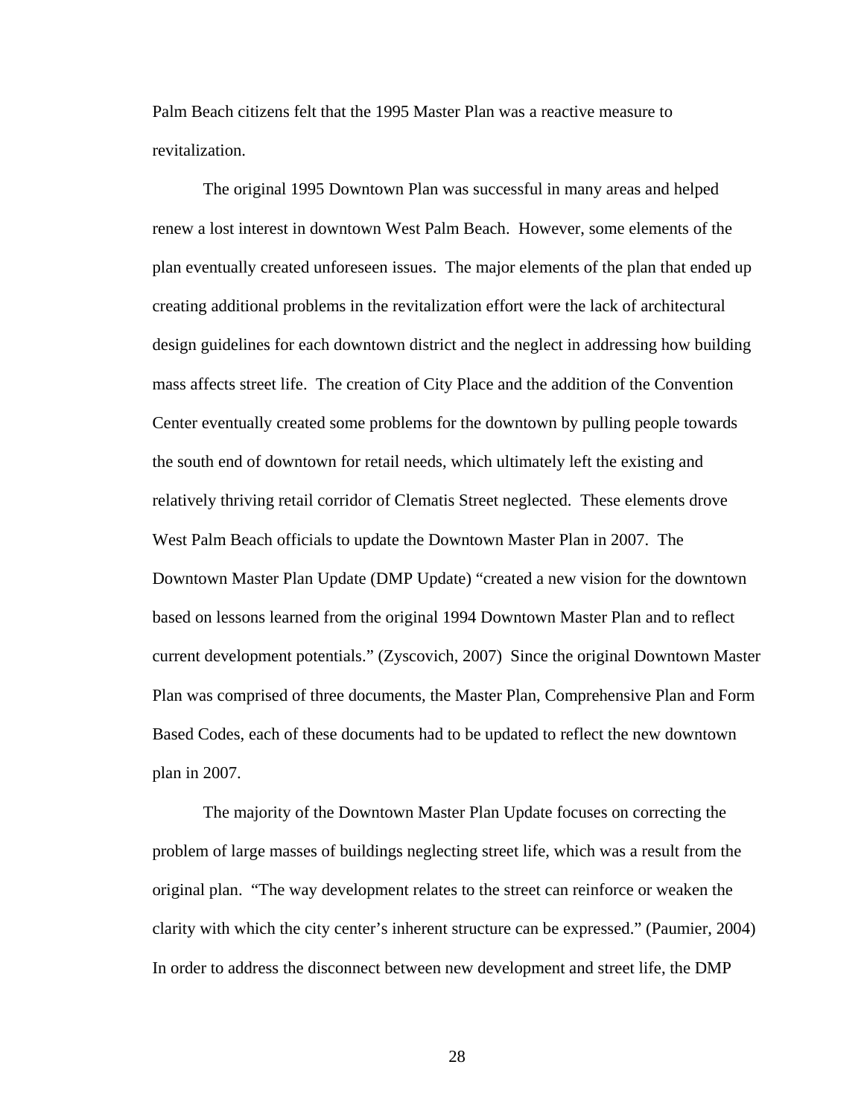Palm Beach citizens felt that the 1995 Master Plan was a reactive measure to revitalization.

The original 1995 Downtown Plan was successful in many areas and helped renew a lost interest in downtown West Palm Beach. However, some elements of the plan eventually created unforeseen issues. The major elements of the plan that ended up creating additional problems in the revitalization effort were the lack of architectural design guidelines for each downtown district and the neglect in addressing how building mass affects street life. The creation of City Place and the addition of the Convention Center eventually created some problems for the downtown by pulling people towards the south end of downtown for retail needs, which ultimately left the existing and relatively thriving retail corridor of Clematis Street neglected. These elements drove West Palm Beach officials to update the Downtown Master Plan in 2007. The Downtown Master Plan Update (DMP Update) "created a new vision for the downtown based on lessons learned from the original 1994 Downtown Master Plan and to reflect current development potentials." (Zyscovich, 2007) Since the original Downtown Master Plan was comprised of three documents, the Master Plan, Comprehensive Plan and Form Based Codes, each of these documents had to be updated to reflect the new downtown plan in 2007.

 The majority of the Downtown Master Plan Update focuses on correcting the problem of large masses of buildings neglecting street life, which was a result from the original plan. "The way development relates to the street can reinforce or weaken the clarity with which the city center's inherent structure can be expressed." (Paumier, 2004) In order to address the disconnect between new development and street life, the DMP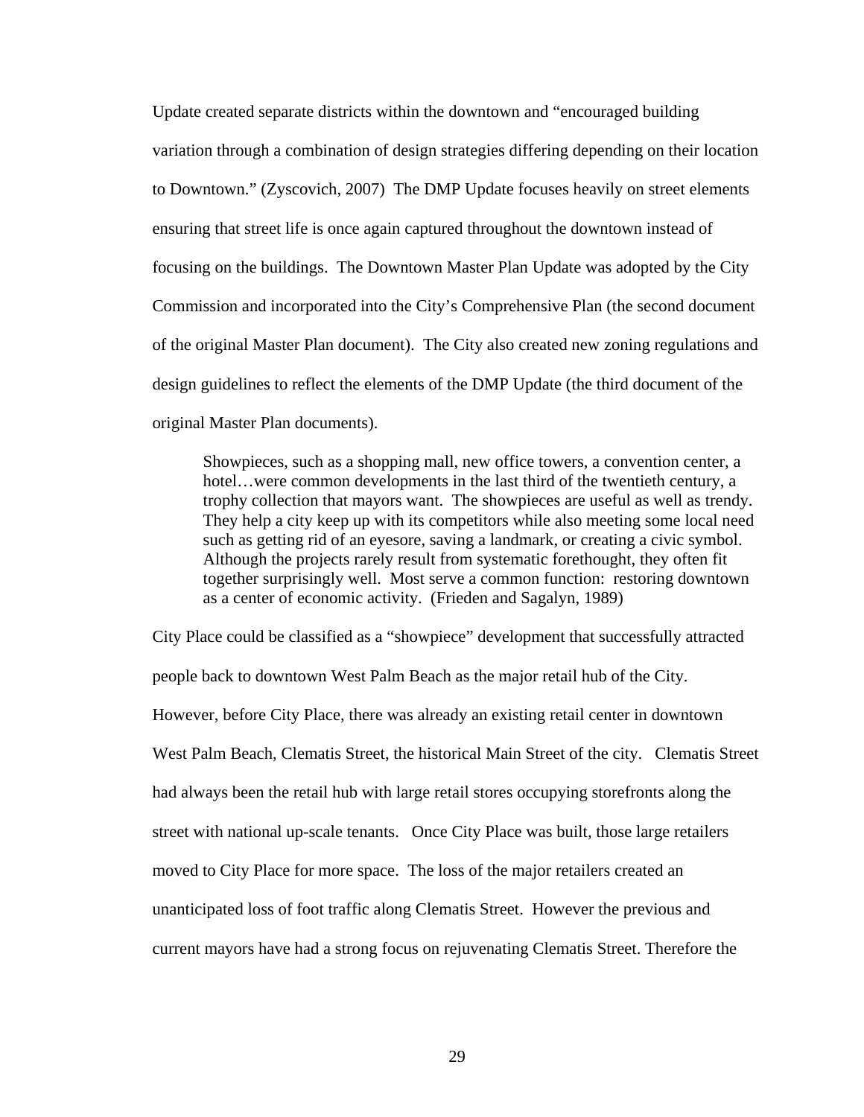Update created separate districts within the downtown and "encouraged building variation through a combination of design strategies differing depending on their location to Downtown." (Zyscovich, 2007) The DMP Update focuses heavily on street elements ensuring that street life is once again captured throughout the downtown instead of focusing on the buildings. The Downtown Master Plan Update was adopted by the City Commission and incorporated into the City's Comprehensive Plan (the second document of the original Master Plan document). The City also created new zoning regulations and design guidelines to reflect the elements of the DMP Update (the third document of the original Master Plan documents).

 Showpieces, such as a shopping mall, new office towers, a convention center, a hotel…were common developments in the last third of the twentieth century, a trophy collection that mayors want. The showpieces are useful as well as trendy. They help a city keep up with its competitors while also meeting some local need such as getting rid of an eyesore, saving a landmark, or creating a civic symbol. Although the projects rarely result from systematic forethought, they often fit together surprisingly well. Most serve a common function: restoring downtown as a center of economic activity. (Frieden and Sagalyn, 1989)

City Place could be classified as a "showpiece" development that successfully attracted people back to downtown West Palm Beach as the major retail hub of the City. However, before City Place, there was already an existing retail center in downtown West Palm Beach, Clematis Street, the historical Main Street of the city. Clematis Street had always been the retail hub with large retail stores occupying storefronts along the street with national up-scale tenants. Once City Place was built, those large retailers moved to City Place for more space. The loss of the major retailers created an unanticipated loss of foot traffic along Clematis Street. However the previous and current mayors have had a strong focus on rejuvenating Clematis Street. Therefore the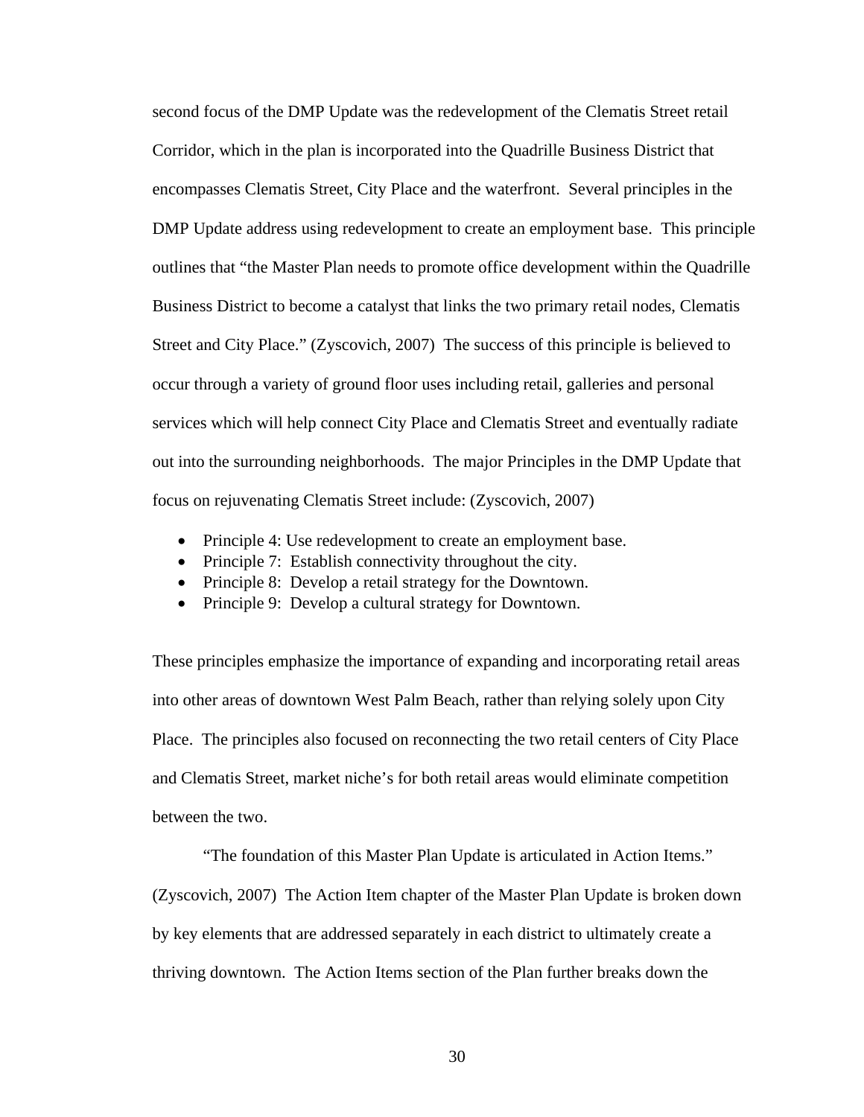second focus of the DMP Update was the redevelopment of the Clematis Street retail Corridor, which in the plan is incorporated into the Quadrille Business District that encompasses Clematis Street, City Place and the waterfront. Several principles in the DMP Update address using redevelopment to create an employment base. This principle outlines that "the Master Plan needs to promote office development within the Quadrille Business District to become a catalyst that links the two primary retail nodes, Clematis Street and City Place." (Zyscovich, 2007) The success of this principle is believed to occur through a variety of ground floor uses including retail, galleries and personal services which will help connect City Place and Clematis Street and eventually radiate out into the surrounding neighborhoods. The major Principles in the DMP Update that focus on rejuvenating Clematis Street include: (Zyscovich, 2007)

- Principle 4: Use redevelopment to create an employment base.
- Principle 7: Establish connectivity throughout the city.
- Principle 8: Develop a retail strategy for the Downtown.
- Principle 9: Develop a cultural strategy for Downtown.

These principles emphasize the importance of expanding and incorporating retail areas into other areas of downtown West Palm Beach, rather than relying solely upon City Place. The principles also focused on reconnecting the two retail centers of City Place and Clematis Street, market niche's for both retail areas would eliminate competition between the two.

 "The foundation of this Master Plan Update is articulated in Action Items." (Zyscovich, 2007) The Action Item chapter of the Master Plan Update is broken down by key elements that are addressed separately in each district to ultimately create a thriving downtown. The Action Items section of the Plan further breaks down the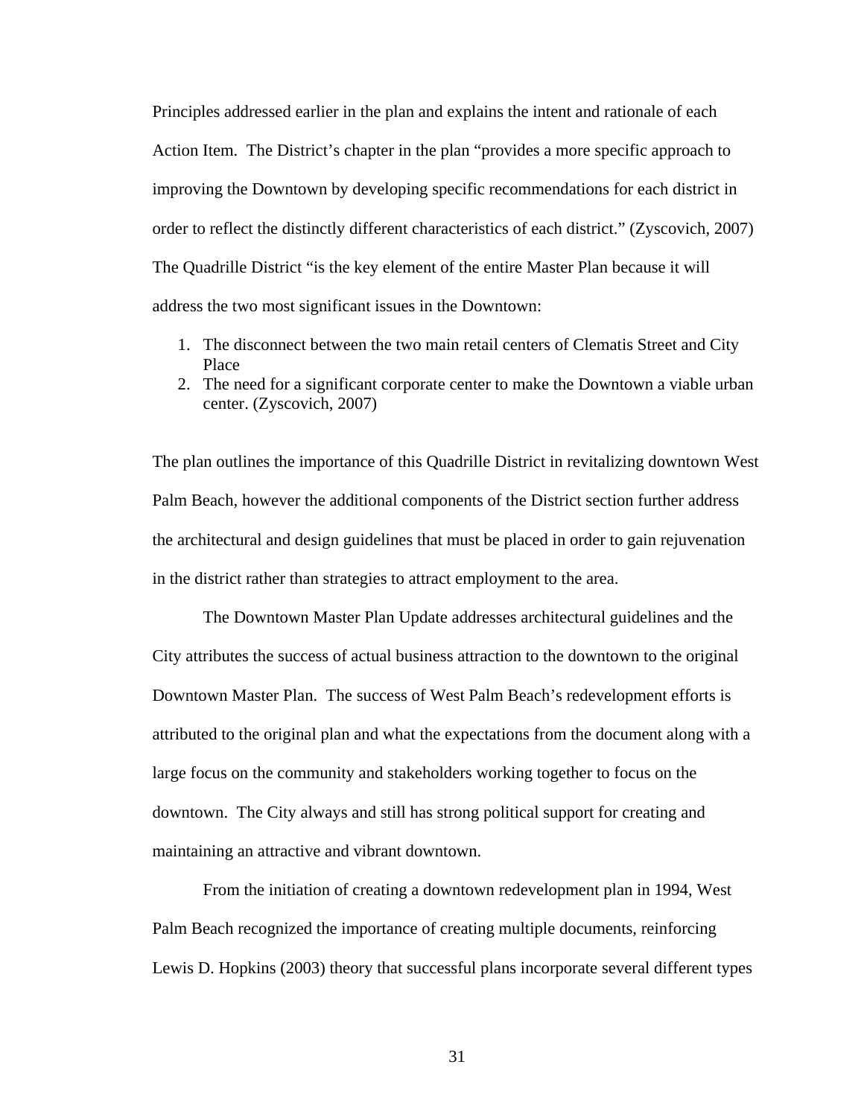Principles addressed earlier in the plan and explains the intent and rationale of each Action Item. The District's chapter in the plan "provides a more specific approach to improving the Downtown by developing specific recommendations for each district in order to reflect the distinctly different characteristics of each district." (Zyscovich, 2007) The Quadrille District "is the key element of the entire Master Plan because it will address the two most significant issues in the Downtown:

- 1. The disconnect between the two main retail centers of Clematis Street and City Place
- 2. The need for a significant corporate center to make the Downtown a viable urban center. (Zyscovich, 2007)

The plan outlines the importance of this Quadrille District in revitalizing downtown West Palm Beach, however the additional components of the District section further address the architectural and design guidelines that must be placed in order to gain rejuvenation in the district rather than strategies to attract employment to the area.

 The Downtown Master Plan Update addresses architectural guidelines and the City attributes the success of actual business attraction to the downtown to the original Downtown Master Plan. The success of West Palm Beach's redevelopment efforts is attributed to the original plan and what the expectations from the document along with a large focus on the community and stakeholders working together to focus on the downtown. The City always and still has strong political support for creating and maintaining an attractive and vibrant downtown.

 From the initiation of creating a downtown redevelopment plan in 1994, West Palm Beach recognized the importance of creating multiple documents, reinforcing Lewis D. Hopkins (2003) theory that successful plans incorporate several different types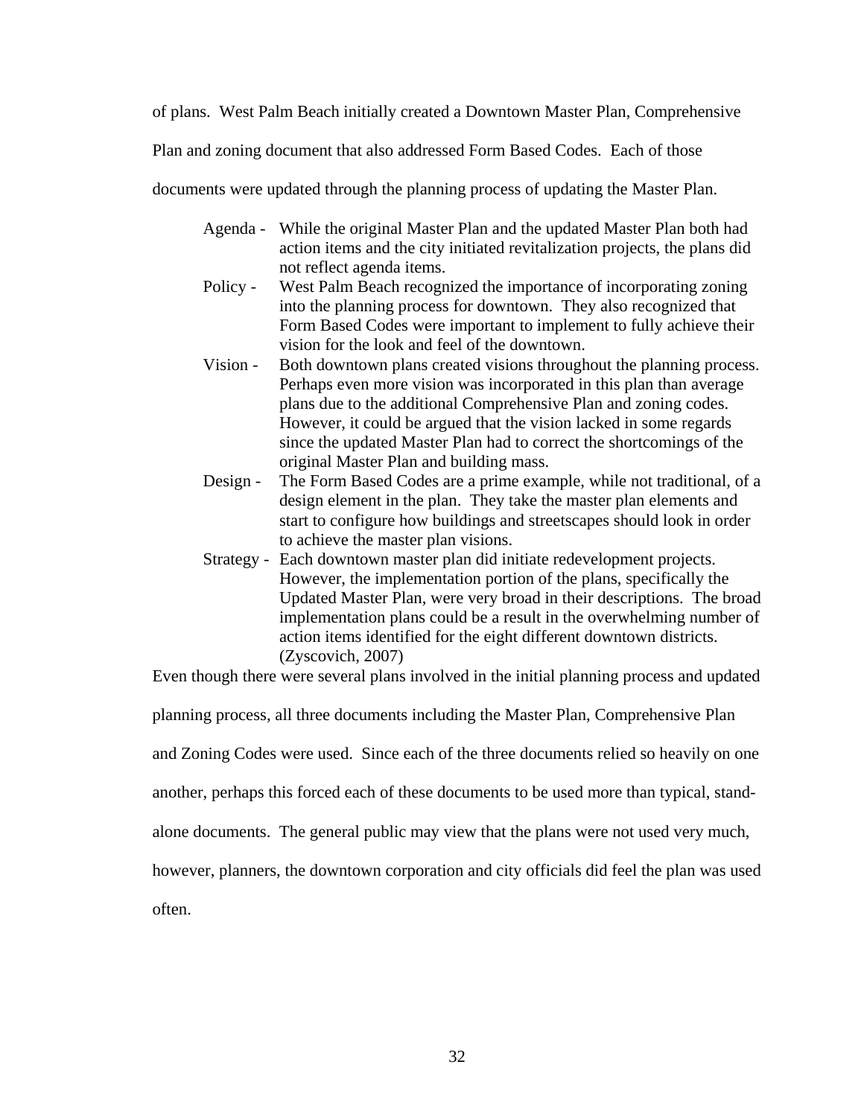of plans. West Palm Beach initially created a Downtown Master Plan, Comprehensive

Plan and zoning document that also addressed Form Based Codes. Each of those

documents were updated through the planning process of updating the Master Plan.

- Agenda While the original Master Plan and the updated Master Plan both had action items and the city initiated revitalization projects, the plans did not reflect agenda items.
- Policy West Palm Beach recognized the importance of incorporating zoning into the planning process for downtown. They also recognized that Form Based Codes were important to implement to fully achieve their vision for the look and feel of the downtown.
- Vision Both downtown plans created visions throughout the planning process. Perhaps even more vision was incorporated in this plan than average plans due to the additional Comprehensive Plan and zoning codes. However, it could be argued that the vision lacked in some regards since the updated Master Plan had to correct the shortcomings of the original Master Plan and building mass.
- Design The Form Based Codes are a prime example, while not traditional, of a design element in the plan. They take the master plan elements and start to configure how buildings and streetscapes should look in order to achieve the master plan visions.
- Strategy Each downtown master plan did initiate redevelopment projects. However, the implementation portion of the plans, specifically the Updated Master Plan, were very broad in their descriptions. The broad implementation plans could be a result in the overwhelming number of action items identified for the eight different downtown districts. (Zyscovich, 2007)

Even though there were several plans involved in the initial planning process and updated

planning process, all three documents including the Master Plan, Comprehensive Plan

and Zoning Codes were used. Since each of the three documents relied so heavily on one

another, perhaps this forced each of these documents to be used more than typical, stand-

alone documents. The general public may view that the plans were not used very much,

however, planners, the downtown corporation and city officials did feel the plan was used

often.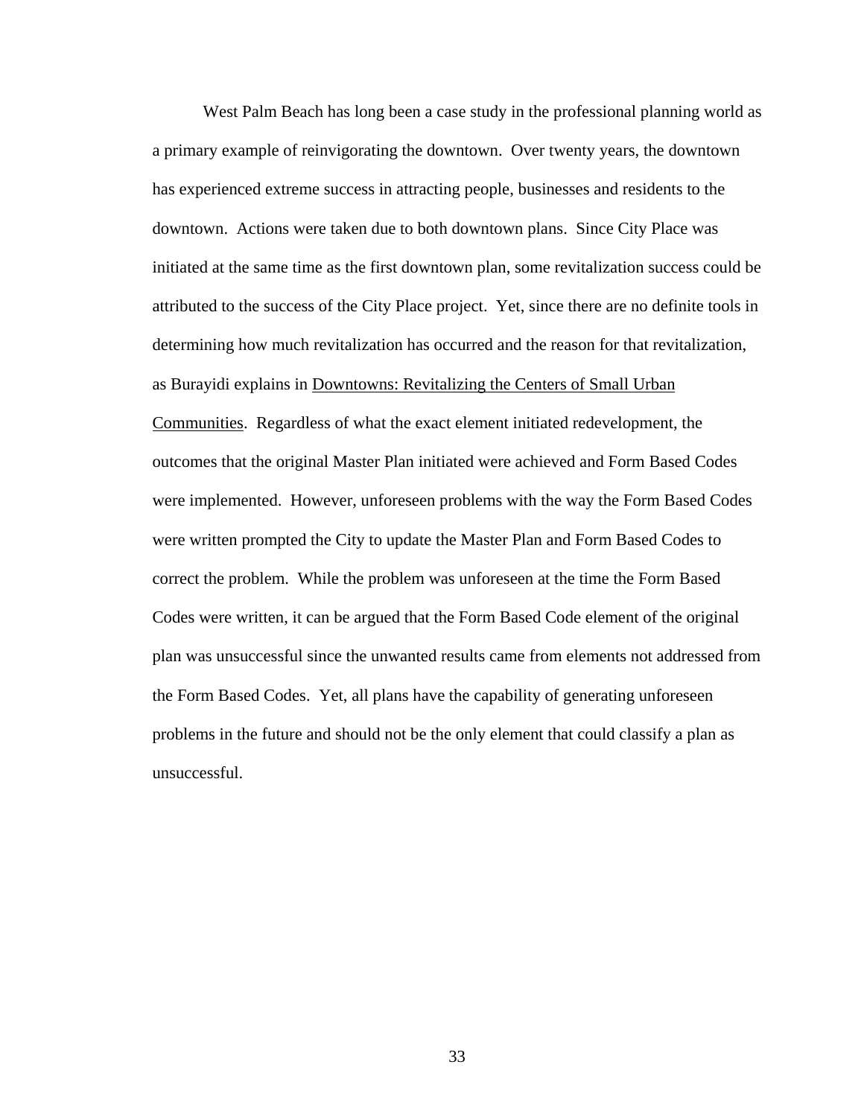West Palm Beach has long been a case study in the professional planning world as a primary example of reinvigorating the downtown. Over twenty years, the downtown has experienced extreme success in attracting people, businesses and residents to the downtown. Actions were taken due to both downtown plans. Since City Place was initiated at the same time as the first downtown plan, some revitalization success could be attributed to the success of the City Place project. Yet, since there are no definite tools in determining how much revitalization has occurred and the reason for that revitalization, as Burayidi explains in Downtowns: Revitalizing the Centers of Small Urban Communities. Regardless of what the exact element initiated redevelopment, the outcomes that the original Master Plan initiated were achieved and Form Based Codes were implemented. However, unforeseen problems with the way the Form Based Codes were written prompted the City to update the Master Plan and Form Based Codes to correct the problem. While the problem was unforeseen at the time the Form Based Codes were written, it can be argued that the Form Based Code element of the original plan was unsuccessful since the unwanted results came from elements not addressed from the Form Based Codes. Yet, all plans have the capability of generating unforeseen problems in the future and should not be the only element that could classify a plan as unsuccessful.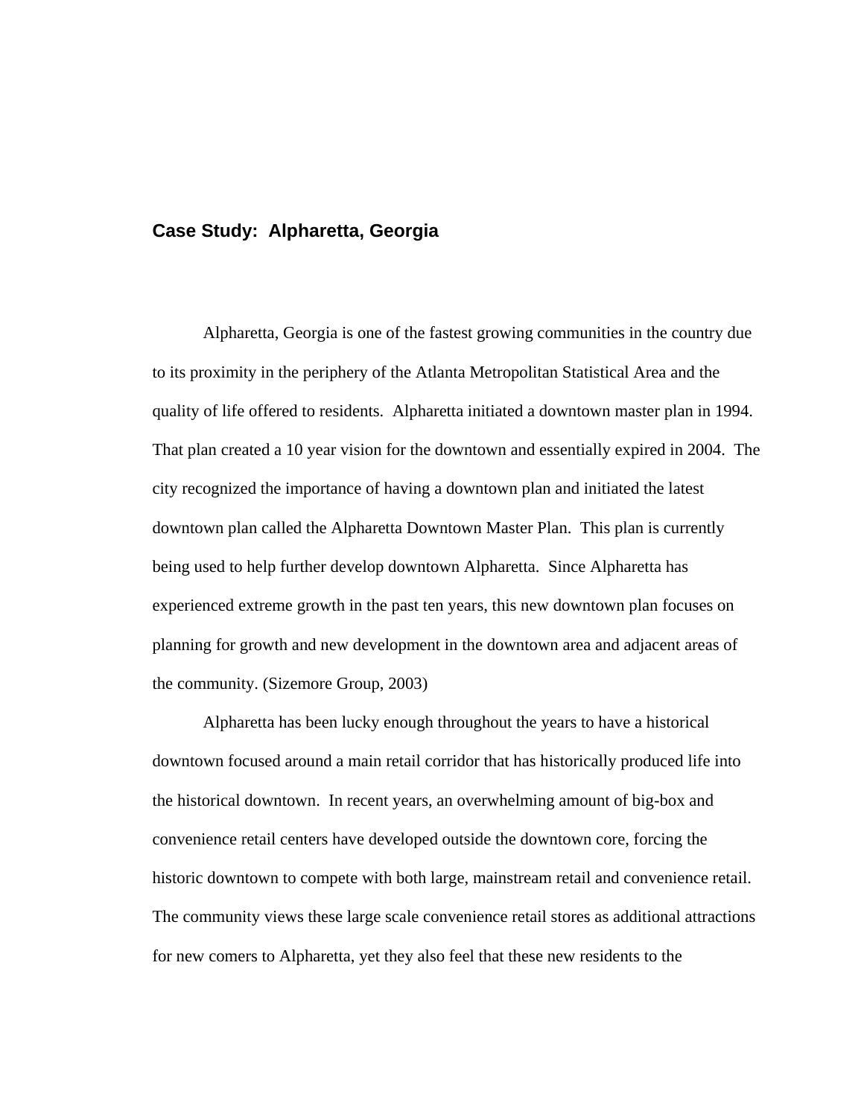## **Case Study: Alpharetta, Georgia**

 Alpharetta, Georgia is one of the fastest growing communities in the country due to its proximity in the periphery of the Atlanta Metropolitan Statistical Area and the quality of life offered to residents. Alpharetta initiated a downtown master plan in 1994. That plan created a 10 year vision for the downtown and essentially expired in 2004. The city recognized the importance of having a downtown plan and initiated the latest downtown plan called the Alpharetta Downtown Master Plan. This plan is currently being used to help further develop downtown Alpharetta. Since Alpharetta has experienced extreme growth in the past ten years, this new downtown plan focuses on planning for growth and new development in the downtown area and adjacent areas of the community. (Sizemore Group, 2003)

 Alpharetta has been lucky enough throughout the years to have a historical downtown focused around a main retail corridor that has historically produced life into the historical downtown. In recent years, an overwhelming amount of big-box and convenience retail centers have developed outside the downtown core, forcing the historic downtown to compete with both large, mainstream retail and convenience retail. The community views these large scale convenience retail stores as additional attractions for new comers to Alpharetta, yet they also feel that these new residents to the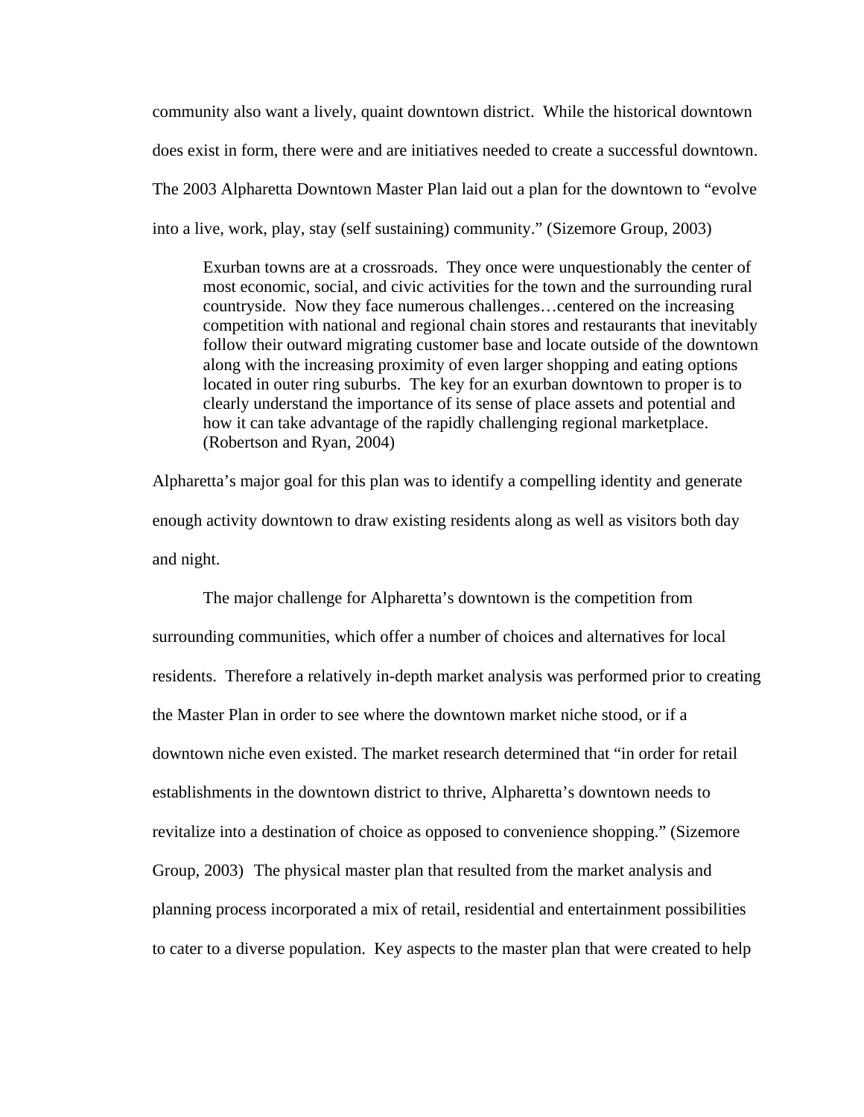community also want a lively, quaint downtown district. While the historical downtown does exist in form, there were and are initiatives needed to create a successful downtown. The 2003 Alpharetta Downtown Master Plan laid out a plan for the downtown to "evolve into a live, work, play, stay (self sustaining) community." (Sizemore Group, 2003)

Exurban towns are at a crossroads. They once were unquestionably the center of most economic, social, and civic activities for the town and the surrounding rural countryside. Now they face numerous challenges…centered on the increasing competition with national and regional chain stores and restaurants that inevitably follow their outward migrating customer base and locate outside of the downtown along with the increasing proximity of even larger shopping and eating options located in outer ring suburbs. The key for an exurban downtown to proper is to clearly understand the importance of its sense of place assets and potential and how it can take advantage of the rapidly challenging regional marketplace. (Robertson and Ryan, 2004)

Alpharetta's major goal for this plan was to identify a compelling identity and generate enough activity downtown to draw existing residents along as well as visitors both day and night.

 The major challenge for Alpharetta's downtown is the competition from surrounding communities, which offer a number of choices and alternatives for local residents. Therefore a relatively in-depth market analysis was performed prior to creating the Master Plan in order to see where the downtown market niche stood, or if a downtown niche even existed. The market research determined that "in order for retail establishments in the downtown district to thrive, Alpharetta's downtown needs to revitalize into a destination of choice as opposed to convenience shopping." (Sizemore Group, 2003) The physical master plan that resulted from the market analysis and planning process incorporated a mix of retail, residential and entertainment possibilities to cater to a diverse population. Key aspects to the master plan that were created to help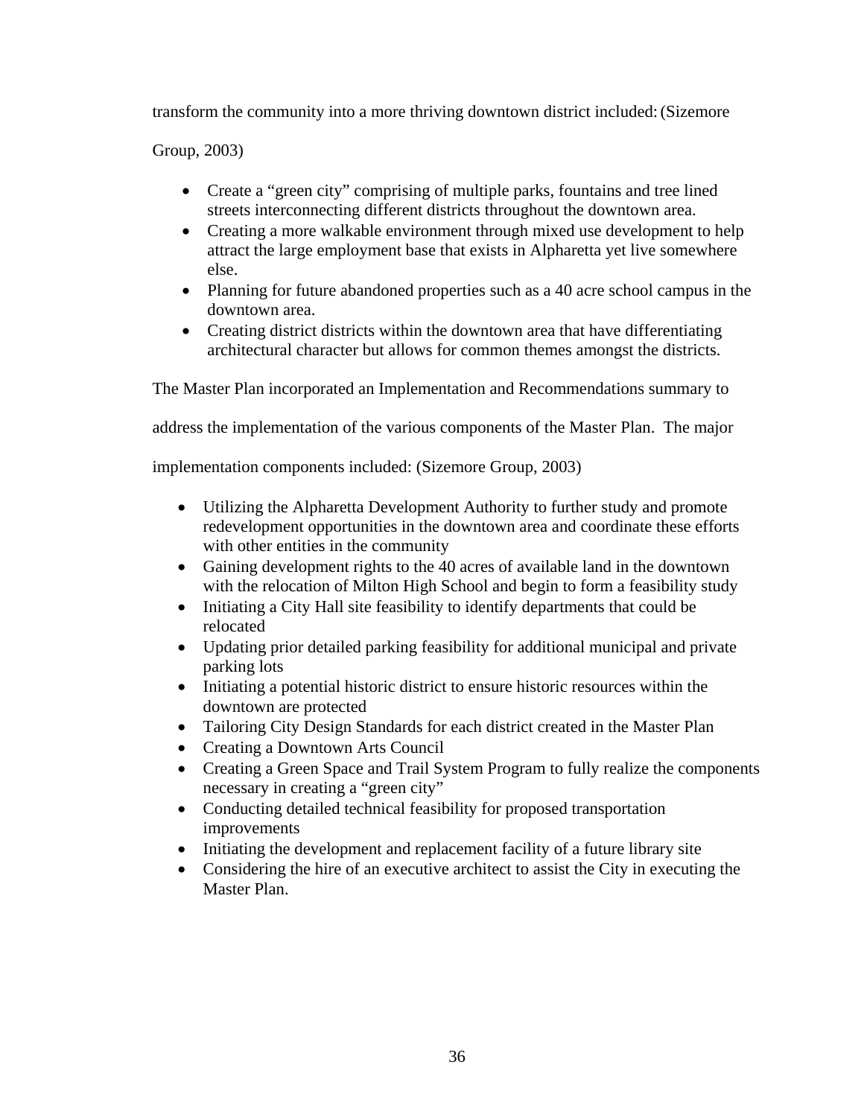transform the community into a more thriving downtown district included: (Sizemore

Group, 2003)

- Create a "green city" comprising of multiple parks, fountains and tree lined streets interconnecting different districts throughout the downtown area.
- Creating a more walkable environment through mixed use development to help attract the large employment base that exists in Alpharetta yet live somewhere else.
- Planning for future abandoned properties such as a 40 acre school campus in the downtown area.
- Creating district districts within the downtown area that have differentiating architectural character but allows for common themes amongst the districts.

The Master Plan incorporated an Implementation and Recommendations summary to

address the implementation of the various components of the Master Plan. The major

implementation components included: (Sizemore Group, 2003)

- Utilizing the Alpharetta Development Authority to further study and promote redevelopment opportunities in the downtown area and coordinate these efforts with other entities in the community
- Gaining development rights to the 40 acres of available land in the downtown with the relocation of Milton High School and begin to form a feasibility study
- Initiating a City Hall site feasibility to identify departments that could be relocated
- Updating prior detailed parking feasibility for additional municipal and private parking lots
- Initiating a potential historic district to ensure historic resources within the downtown are protected
- Tailoring City Design Standards for each district created in the Master Plan
- Creating a Downtown Arts Council
- Creating a Green Space and Trail System Program to fully realize the components necessary in creating a "green city"
- Conducting detailed technical feasibility for proposed transportation improvements
- Initiating the development and replacement facility of a future library site
- Considering the hire of an executive architect to assist the City in executing the Master Plan.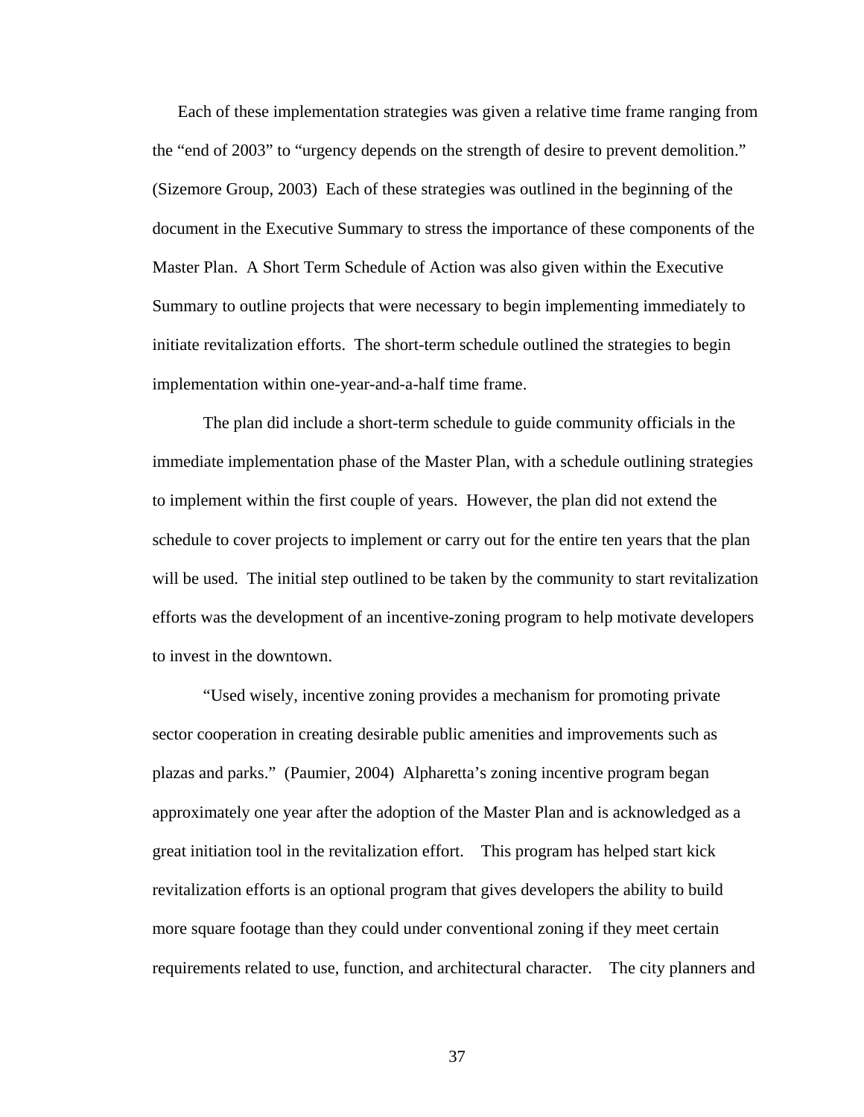Each of these implementation strategies was given a relative time frame ranging from the "end of 2003" to "urgency depends on the strength of desire to prevent demolition." (Sizemore Group, 2003) Each of these strategies was outlined in the beginning of the document in the Executive Summary to stress the importance of these components of the Master Plan. A Short Term Schedule of Action was also given within the Executive Summary to outline projects that were necessary to begin implementing immediately to initiate revitalization efforts. The short-term schedule outlined the strategies to begin implementation within one-year-and-a-half time frame.

 The plan did include a short-term schedule to guide community officials in the immediate implementation phase of the Master Plan, with a schedule outlining strategies to implement within the first couple of years. However, the plan did not extend the schedule to cover projects to implement or carry out for the entire ten years that the plan will be used. The initial step outlined to be taken by the community to start revitalization efforts was the development of an incentive-zoning program to help motivate developers to invest in the downtown.

 "Used wisely, incentive zoning provides a mechanism for promoting private sector cooperation in creating desirable public amenities and improvements such as plazas and parks." (Paumier, 2004) Alpharetta's zoning incentive program began approximately one year after the adoption of the Master Plan and is acknowledged as a great initiation tool in the revitalization effort. This program has helped start kick revitalization efforts is an optional program that gives developers the ability to build more square footage than they could under conventional zoning if they meet certain requirements related to use, function, and architectural character. The city planners and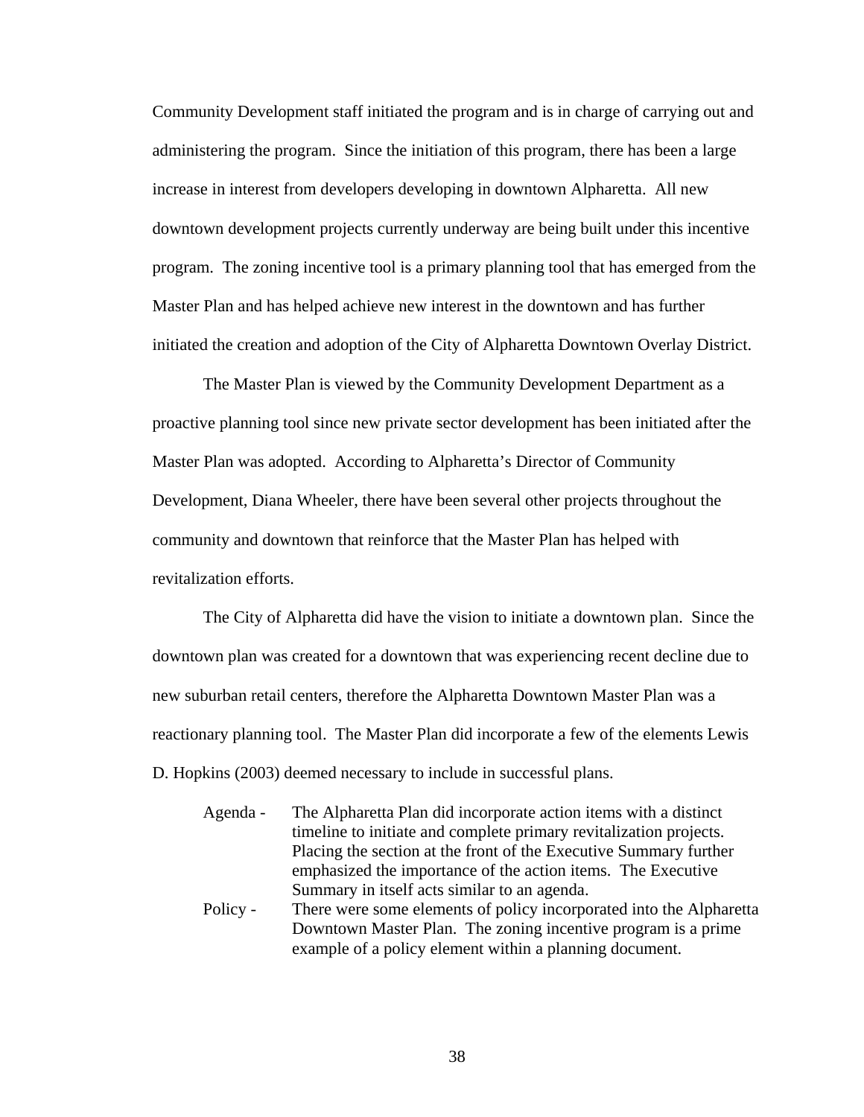Community Development staff initiated the program and is in charge of carrying out and administering the program. Since the initiation of this program, there has been a large increase in interest from developers developing in downtown Alpharetta. All new downtown development projects currently underway are being built under this incentive program. The zoning incentive tool is a primary planning tool that has emerged from the Master Plan and has helped achieve new interest in the downtown and has further initiated the creation and adoption of the City of Alpharetta Downtown Overlay District.

 The Master Plan is viewed by the Community Development Department as a proactive planning tool since new private sector development has been initiated after the Master Plan was adopted. According to Alpharetta's Director of Community Development, Diana Wheeler, there have been several other projects throughout the community and downtown that reinforce that the Master Plan has helped with revitalization efforts.

The City of Alpharetta did have the vision to initiate a downtown plan. Since the downtown plan was created for a downtown that was experiencing recent decline due to new suburban retail centers, therefore the Alpharetta Downtown Master Plan was a reactionary planning tool. The Master Plan did incorporate a few of the elements Lewis D. Hopkins (2003) deemed necessary to include in successful plans.

- Agenda The Alpharetta Plan did incorporate action items with a distinct timeline to initiate and complete primary revitalization projects. Placing the section at the front of the Executive Summary further emphasized the importance of the action items. The Executive Summary in itself acts similar to an agenda.
- Policy There were some elements of policy incorporated into the Alpharetta Downtown Master Plan. The zoning incentive program is a prime example of a policy element within a planning document.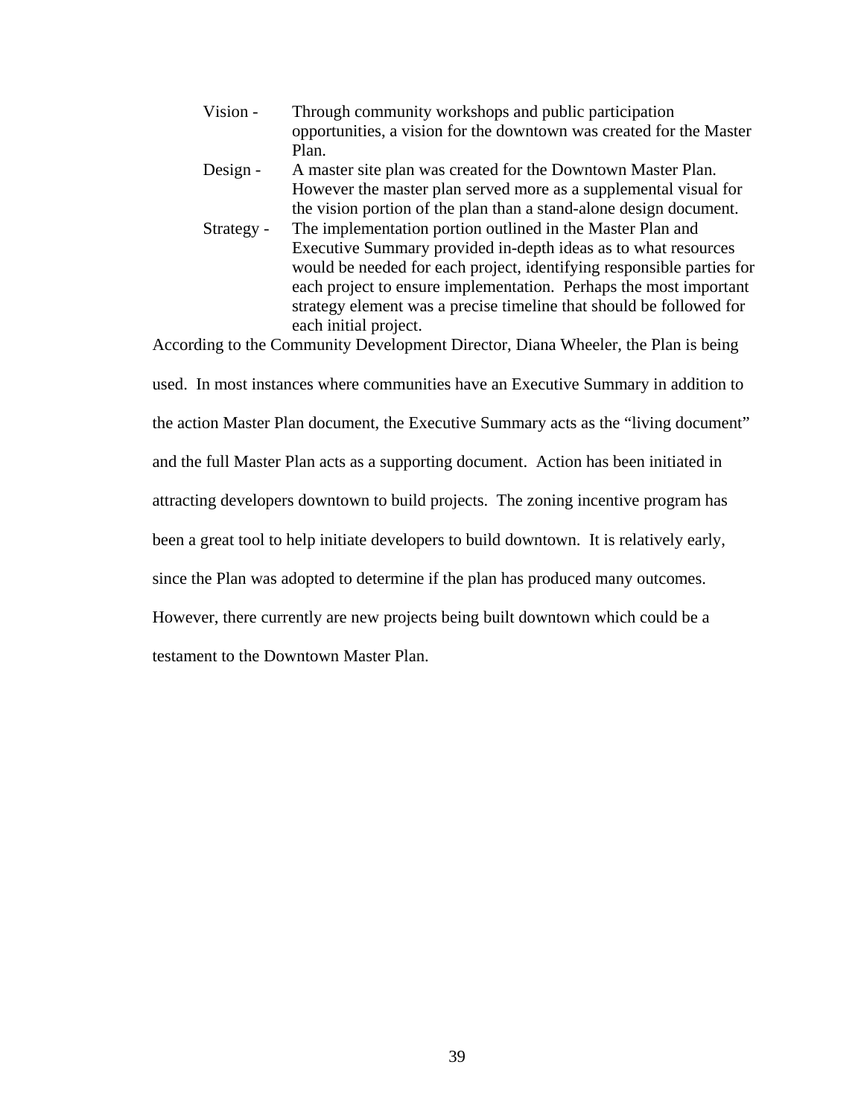- Vision Through community workshops and public participation opportunities, a vision for the downtown was created for the Master Plan.
- Design A master site plan was created for the Downtown Master Plan. However the master plan served more as a supplemental visual for the vision portion of the plan than a stand-alone design document.
- Strategy The implementation portion outlined in the Master Plan and Executive Summary provided in-depth ideas as to what resources would be needed for each project, identifying responsible parties for each project to ensure implementation. Perhaps the most important strategy element was a precise timeline that should be followed for each initial project.

According to the Community Development Director, Diana Wheeler, the Plan is being

used. In most instances where communities have an Executive Summary in addition to

the action Master Plan document, the Executive Summary acts as the "living document"

and the full Master Plan acts as a supporting document. Action has been initiated in

attracting developers downtown to build projects. The zoning incentive program has

been a great tool to help initiate developers to build downtown. It is relatively early,

since the Plan was adopted to determine if the plan has produced many outcomes.

However, there currently are new projects being built downtown which could be a

testament to the Downtown Master Plan.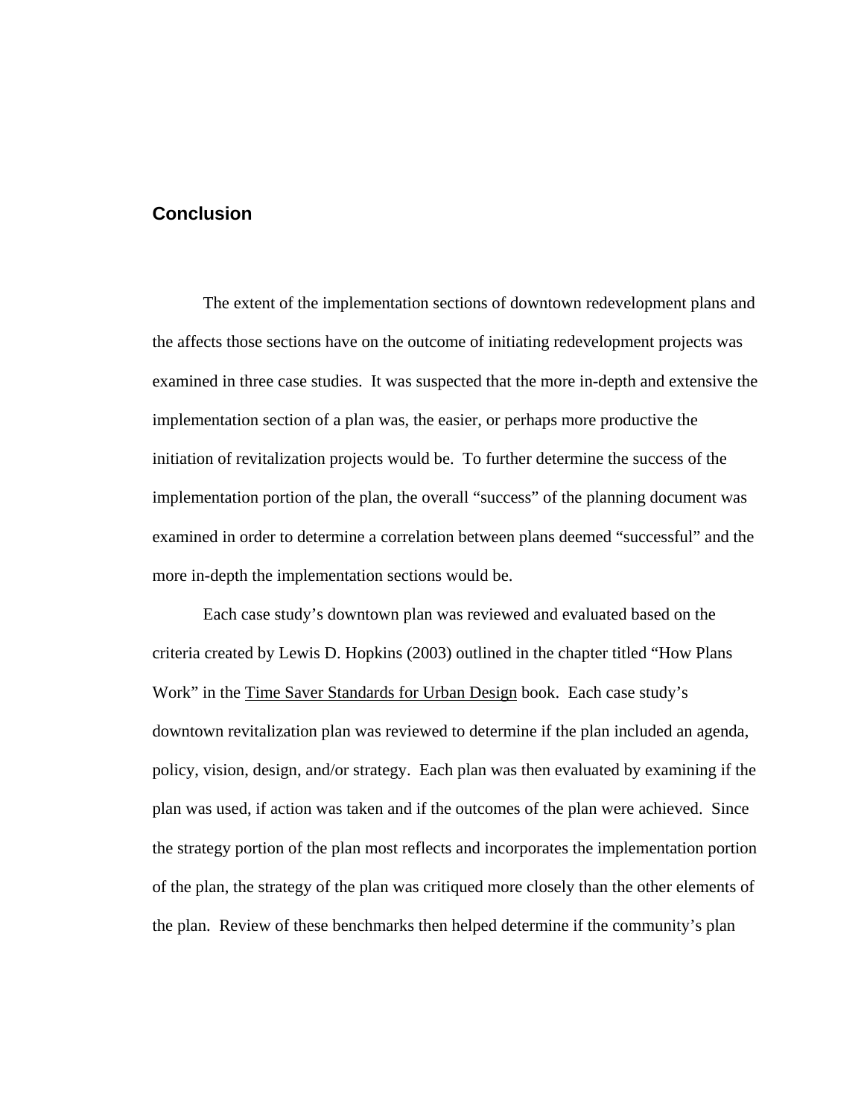## **Conclusion**

 The extent of the implementation sections of downtown redevelopment plans and the affects those sections have on the outcome of initiating redevelopment projects was examined in three case studies. It was suspected that the more in-depth and extensive the implementation section of a plan was, the easier, or perhaps more productive the initiation of revitalization projects would be. To further determine the success of the implementation portion of the plan, the overall "success" of the planning document was examined in order to determine a correlation between plans deemed "successful" and the more in-depth the implementation sections would be.

 Each case study's downtown plan was reviewed and evaluated based on the criteria created by Lewis D. Hopkins (2003) outlined in the chapter titled "How Plans Work" in the Time Saver Standards for Urban Design book. Each case study's downtown revitalization plan was reviewed to determine if the plan included an agenda, policy, vision, design, and/or strategy. Each plan was then evaluated by examining if the plan was used, if action was taken and if the outcomes of the plan were achieved. Since the strategy portion of the plan most reflects and incorporates the implementation portion of the plan, the strategy of the plan was critiqued more closely than the other elements of the plan. Review of these benchmarks then helped determine if the community's plan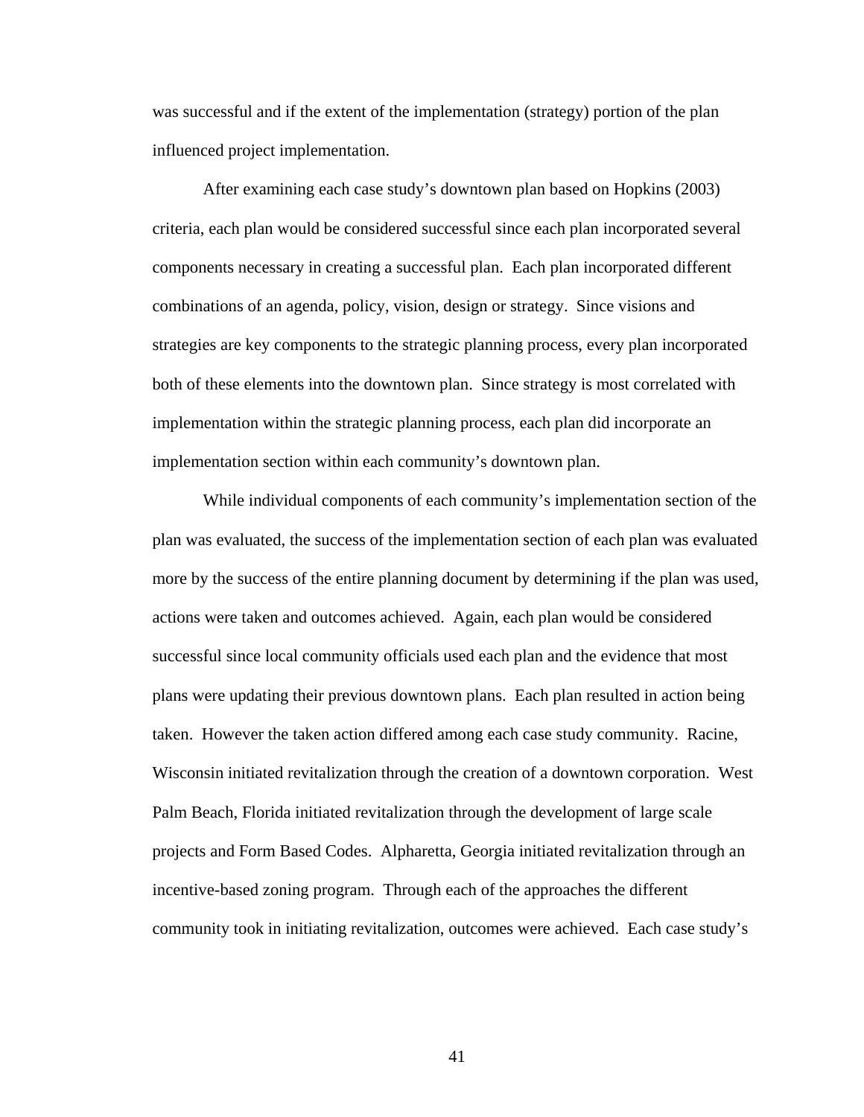was successful and if the extent of the implementation (strategy) portion of the plan influenced project implementation.

 After examining each case study's downtown plan based on Hopkins (2003) criteria, each plan would be considered successful since each plan incorporated several components necessary in creating a successful plan. Each plan incorporated different combinations of an agenda, policy, vision, design or strategy. Since visions and strategies are key components to the strategic planning process, every plan incorporated both of these elements into the downtown plan. Since strategy is most correlated with implementation within the strategic planning process, each plan did incorporate an implementation section within each community's downtown plan.

 While individual components of each community's implementation section of the plan was evaluated, the success of the implementation section of each plan was evaluated more by the success of the entire planning document by determining if the plan was used, actions were taken and outcomes achieved. Again, each plan would be considered successful since local community officials used each plan and the evidence that most plans were updating their previous downtown plans. Each plan resulted in action being taken. However the taken action differed among each case study community. Racine, Wisconsin initiated revitalization through the creation of a downtown corporation. West Palm Beach, Florida initiated revitalization through the development of large scale projects and Form Based Codes. Alpharetta, Georgia initiated revitalization through an incentive-based zoning program. Through each of the approaches the different community took in initiating revitalization, outcomes were achieved. Each case study's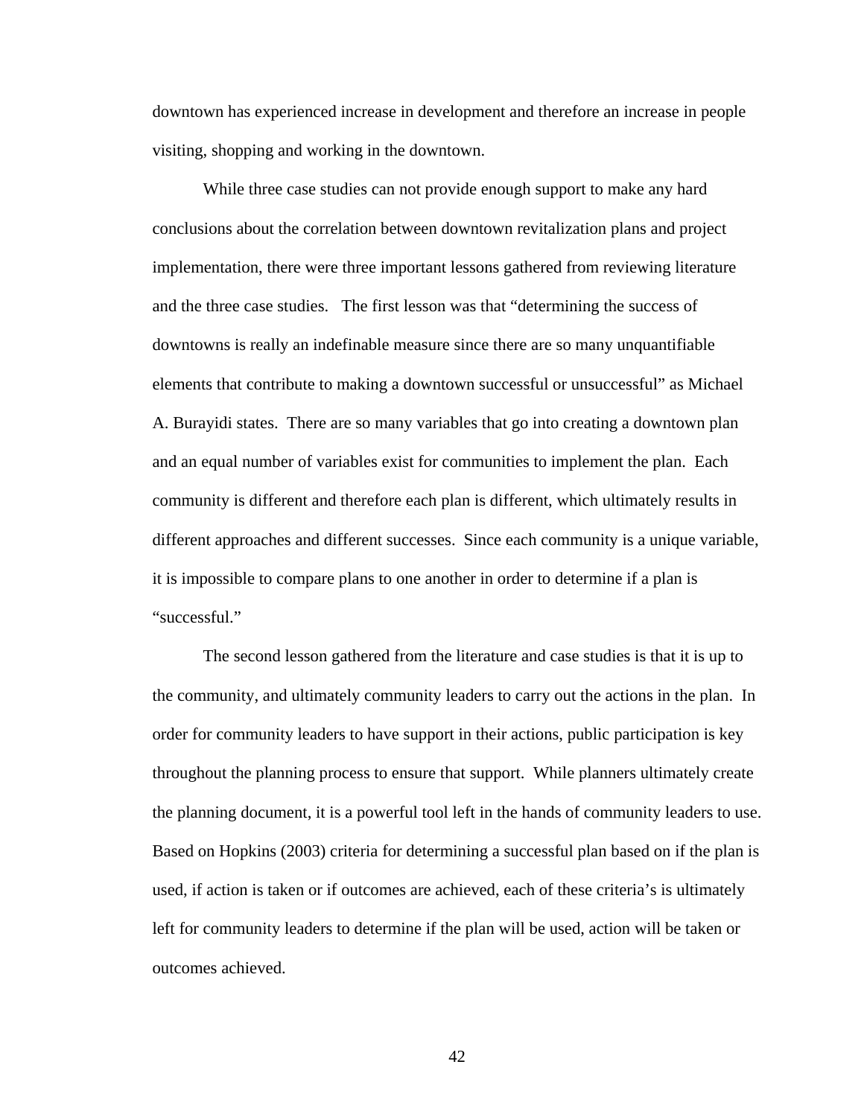downtown has experienced increase in development and therefore an increase in people visiting, shopping and working in the downtown.

 While three case studies can not provide enough support to make any hard conclusions about the correlation between downtown revitalization plans and project implementation, there were three important lessons gathered from reviewing literature and the three case studies. The first lesson was that "determining the success of downtowns is really an indefinable measure since there are so many unquantifiable elements that contribute to making a downtown successful or unsuccessful" as Michael A. Burayidi states. There are so many variables that go into creating a downtown plan and an equal number of variables exist for communities to implement the plan. Each community is different and therefore each plan is different, which ultimately results in different approaches and different successes. Since each community is a unique variable, it is impossible to compare plans to one another in order to determine if a plan is "successful."

 The second lesson gathered from the literature and case studies is that it is up to the community, and ultimately community leaders to carry out the actions in the plan. In order for community leaders to have support in their actions, public participation is key throughout the planning process to ensure that support. While planners ultimately create the planning document, it is a powerful tool left in the hands of community leaders to use. Based on Hopkins (2003) criteria for determining a successful plan based on if the plan is used, if action is taken or if outcomes are achieved, each of these criteria's is ultimately left for community leaders to determine if the plan will be used, action will be taken or outcomes achieved.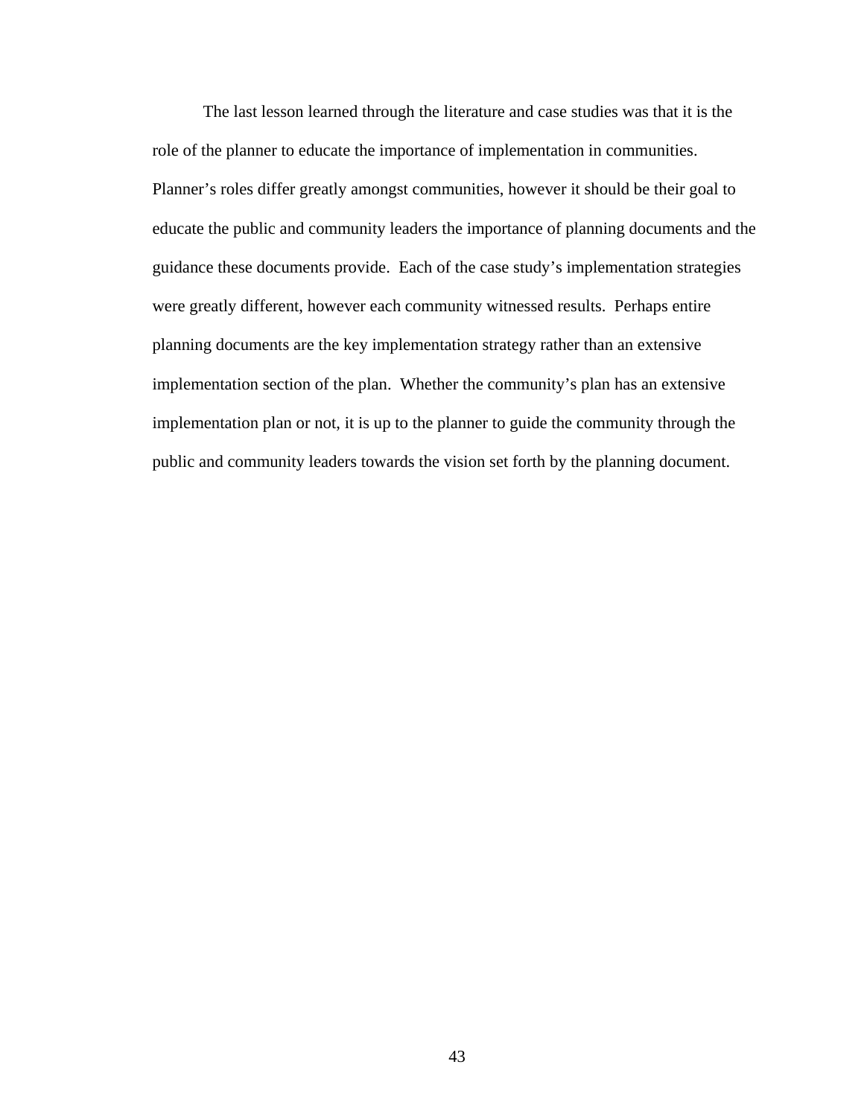The last lesson learned through the literature and case studies was that it is the role of the planner to educate the importance of implementation in communities. Planner's roles differ greatly amongst communities, however it should be their goal to educate the public and community leaders the importance of planning documents and the guidance these documents provide. Each of the case study's implementation strategies were greatly different, however each community witnessed results. Perhaps entire planning documents are the key implementation strategy rather than an extensive implementation section of the plan. Whether the community's plan has an extensive implementation plan or not, it is up to the planner to guide the community through the public and community leaders towards the vision set forth by the planning document.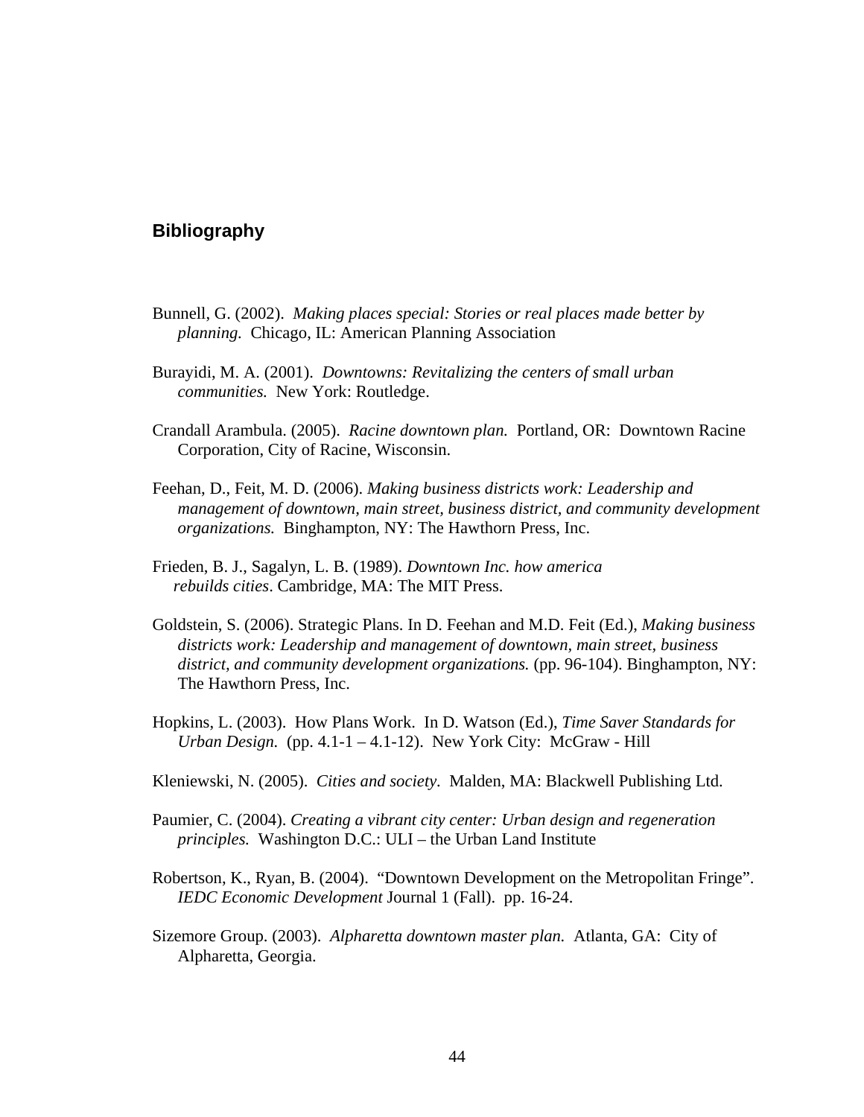### **Bibliography**

- Bunnell, G. (2002). *Making places special: Stories or real places made better by planning.* Chicago, IL: American Planning Association
- Burayidi, M. A. (2001). *Downtowns: Revitalizing the centers of small urban communities.* New York: Routledge.
- Crandall Arambula. (2005). *Racine downtown plan.* Portland, OR: Downtown Racine Corporation, City of Racine, Wisconsin.
- Feehan, D., Feit, M. D. (2006). *Making business districts work: Leadership and management of downtown, main street, business district, and community development organizations.* Binghampton, NY: The Hawthorn Press, Inc.
- Frieden, B. J., Sagalyn, L. B. (1989). *Downtown Inc. how america rebuilds cities*. Cambridge, MA: The MIT Press.
- Goldstein, S. (2006). Strategic Plans. In D. Feehan and M.D. Feit (Ed.), *Making business districts work: Leadership and management of downtown, main street, business*  district, and community development organizations. (pp. 96-104). Binghampton, NY: The Hawthorn Press, Inc.
- Hopkins, L. (2003). How Plans Work. In D. Watson (Ed.), *Time Saver Standards for Urban Design.* (pp. 4.1-1 – 4.1-12). New York City: McGraw - Hill
- Kleniewski, N. (2005). *Cities and society.* Malden, MA: Blackwell Publishing Ltd.
- Paumier, C. (2004). *Creating a vibrant city center: Urban design and regeneration principles.* Washington D.C.: ULI – the Urban Land Institute
- Robertson, K., Ryan, B. (2004). "Downtown Development on the Metropolitan Fringe". *IEDC Economic Development* Journal 1 (Fall). pp. 16-24.
- Sizemore Group. (2003). *Alpharetta downtown master plan.* Atlanta, GA: City of Alpharetta, Georgia.